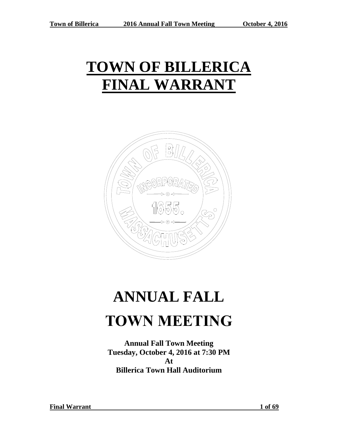# **TOWN OF BILLERICA FINAL WARRANT**



# **ANNUAL FALL TOWN MEETING**

**Annual Fall Town Meeting Tuesday, October 4, 2016 at 7:30 PM At Billerica Town Hall Auditorium**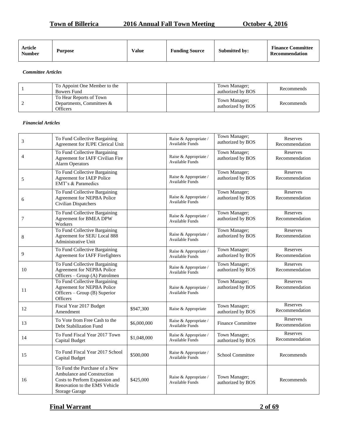#### **Town of Billerica** 2016 Annual Fall Town Meeting October 4, 2016

| Article<br><b>Number</b> | <b>Purpose</b> | <b>Value</b> | <b>Funding Source</b> | <b>Submitted by:</b> | <b>Finance Committee</b><br>Recommendation |
|--------------------------|----------------|--------------|-----------------------|----------------------|--------------------------------------------|
|--------------------------|----------------|--------------|-----------------------|----------------------|--------------------------------------------|

*Committee Articles* 

| To Appoint One Member to the<br>Bowers Fund                      |  | Town Manager:<br>authorized by BOS | Recommends |
|------------------------------------------------------------------|--|------------------------------------|------------|
| To Hear Reports of Town<br>Departments, Committees &<br>Officers |  | Town Manager;<br>authorized by BOS | Recommends |

#### *Financial Articles*

| 3              | To Fund Collective Bargaining<br>Agreement for IUPE Clerical Unit                                                                                       |             | Raise & Appropriate /<br>Available Funds        | Town Manager;<br>authorized by BOS | Reserves<br>Recommendation |
|----------------|---------------------------------------------------------------------------------------------------------------------------------------------------------|-------------|-------------------------------------------------|------------------------------------|----------------------------|
| $\overline{4}$ | To Fund Collective Bargaining<br>Agreement for IAFF Civilian Fire<br><b>Alarm Operators</b>                                                             |             | Raise & Appropriate /<br><b>Available Funds</b> | Town Manager;<br>authorized by BOS | Reserves<br>Recommendation |
| 5              | To Fund Collective Bargaining<br>Agreement for IAEP Police<br>EMT's & Paramedics                                                                        |             | Raise & Appropriate /<br><b>Available Funds</b> | Town Manager;<br>authorized by BOS | Reserves<br>Recommendation |
| 6              | To Fund Collective Bargaining<br>Agreement for NEPBA Police<br>Civilian Dispatchers                                                                     |             | Raise & Appropriate /<br>Available Funds        | Town Manager;<br>authorized by BOS | Reserves<br>Recommendation |
| $\tau$         | To Fund Collective Bargaining<br>Agreement for BMEA DPW<br>Workers                                                                                      |             | Raise & Appropriate /<br>Available Funds        | Town Manager;<br>authorized by BOS | Reserves<br>Recommendation |
| 8              | To Fund Collective Bargaining<br>Agreement for SEIU Local 888<br>Administrative Unit                                                                    |             | Raise & Appropriate /<br>Available Funds        | Town Manager;<br>authorized by BOS | Reserves<br>Recommendation |
| 9              | To Fund Collective Bargaining<br><b>Agreement for IAFF Firefighters</b>                                                                                 |             | Raise & Appropriate /<br>Available Funds        | Town Manager;<br>authorized by BOS | Reserves<br>Recommendation |
| 10             | To Fund Collective Bargaining<br>Agreement for NEPBA Police<br>Officers - Group (A) Patrolmen                                                           |             | Raise & Appropriate /<br>Available Funds        | Town Manager;<br>authorized by BOS | Reserves<br>Recommendation |
| 11             | To Fund Collective Bargaining<br>Agreement for NEPBA Police<br>Officers - Group (B) Superior<br><b>Officers</b>                                         |             | Raise & Appropriate /<br>Available Funds        | Town Manager;<br>authorized by BOS | Reserves<br>Recommendation |
| 12             | Fiscal Year 2017 Budget<br>Amendment                                                                                                                    | \$947,300   | Raise & Appropriate                             | Town Manager;<br>authorized by BOS | Reserves<br>Recommendation |
| 13             | To Vote from Free Cash to the<br>Debt Stabilization Fund                                                                                                | \$6,000,000 | Raise & Appropriate /<br>Available Funds        | <b>Finance Committee</b>           | Reserves<br>Recommendation |
| 14             | To Fund Fiscal Year 2017 Town<br>Capital Budget                                                                                                         | \$1,048,000 | Raise & Appropriate /<br><b>Available Funds</b> | Town Manager;<br>authorized by BOS | Reserves<br>Recommendation |
| 15             | To Fund Fiscal Year 2017 School<br>Capital Budget                                                                                                       | \$500,000   | Raise & Appropriate /<br>Available Funds        | <b>School Committee</b>            | Recommends                 |
| 16             | To Fund the Purchase of a New<br>Ambulance and Construction<br>Costs to Perform Expansion and<br>Renovation to the EMS Vehicle<br><b>Storage Garage</b> | \$425,000   | Raise & Appropriate /<br><b>Available Funds</b> | Town Manager;<br>authorized by BOS | Recommends                 |

# **Final Warrant 2 of 69**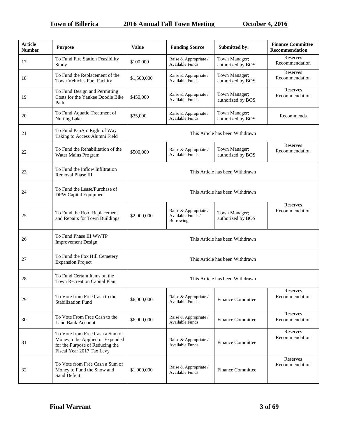| <b>Article</b><br><b>Number</b> | <b>Purpose</b>                                                                                                                     | <b>Value</b>                    | <b>Funding Source</b>                                   | Submitted by:                      | <b>Finance Committee</b><br><b>Recommendation</b> |
|---------------------------------|------------------------------------------------------------------------------------------------------------------------------------|---------------------------------|---------------------------------------------------------|------------------------------------|---------------------------------------------------|
| 17                              | To Fund Fire Station Feasibility<br>Study                                                                                          | \$100,000                       | Raise & Appropriate /<br>Available Funds                | Town Manager;<br>authorized by BOS | Reserves<br>Recommendation                        |
| 18                              | To Fund the Replacement of the<br>Town Vehicles Fuel Facility                                                                      | \$1,500,000                     | Raise & Appropriate /<br>Available Funds                | Town Manager;<br>authorized by BOS | Reserves<br>Recommendation                        |
| 19                              | To Fund Design and Permitting<br>Costs for the Yankee Doodle Bike<br>Path                                                          | \$450,000                       | Raise & Appropriate /<br>Available Funds                | Town Manager;<br>authorized by BOS | Reserves<br>Recommendation                        |
| 20                              | To Fund Aquatic Treatment of<br>Nutting Lake                                                                                       | \$35,000                        | Raise & Appropriate /<br><b>Available Funds</b>         | Town Manager;<br>authorized by BOS | Recommends                                        |
| 21                              | To Fund PanAm Right of Way<br>Taking to Access Alumni Field                                                                        |                                 |                                                         | This Article has been Withdrawn    |                                                   |
| 22                              | To Fund the Rehabilitation of the<br>Water Mains Program                                                                           | \$500,000                       | Raise & Appropriate /<br>Available Funds                | Town Manager;<br>authorized by BOS | Reserves<br>Recommendation                        |
| 23                              | To Fund the Inflow Infiltration<br>Removal Phase III                                                                               | This Article has been Withdrawn |                                                         |                                    |                                                   |
| 24                              | To Fund the Lease/Purchase of<br>DPW Capital Equipment                                                                             | This Article has been Withdrawn |                                                         |                                    |                                                   |
| 25                              | To Fund the Roof Replacement<br>and Repairs for Town Buildings                                                                     | \$2,000,000                     | Raise & Appropriate /<br>Available Funds /<br>Borrowing | Town Manager;<br>authorized by BOS | Reserves<br>Recommendation                        |
| 26                              | To Fund Phase III WWTP<br><b>Improvement Design</b>                                                                                |                                 |                                                         | This Article has been Withdrawn    |                                                   |
| 27                              | To Fund the Fox Hill Cemetery<br><b>Expansion Project</b>                                                                          |                                 |                                                         | This Article has been Withdrawn    |                                                   |
| 28                              | To Fund Certain Items on the<br>Town Recreation Capital Plan                                                                       |                                 |                                                         | This Article has been Withdrawn    |                                                   |
| 29                              | To Vote from Free Cash to the<br><b>Stabilization Fund</b>                                                                         | \$6,000,000                     | Raise & Appropriate /<br>Available Funds                | <b>Finance Committee</b>           | Reserves<br>Recommendation                        |
| 30                              | To Vote From Free Cash to the<br><b>Land Bank Account</b>                                                                          | \$6,000,000                     | Raise & Appropriate /<br>Available Funds                | <b>Finance Committee</b>           | Reserves<br>Recommendation                        |
| 31                              | To Vote from Free Cash a Sum of<br>Money to be Applied or Expended<br>for the Purpose of Reducing the<br>Fiscal Year 2017 Tax Levy |                                 | Raise & Appropriate /<br>Available Funds                | <b>Finance Committee</b>           | Reserves<br>Recommendation                        |
| 32                              | To Vote from Free Cash a Sum of<br>Money to Fund the Snow and<br>Sand Deficit                                                      | \$1,000,000                     | Raise & Appropriate /<br><b>Available Funds</b>         | <b>Finance Committee</b>           | Reserves<br>Recommendation                        |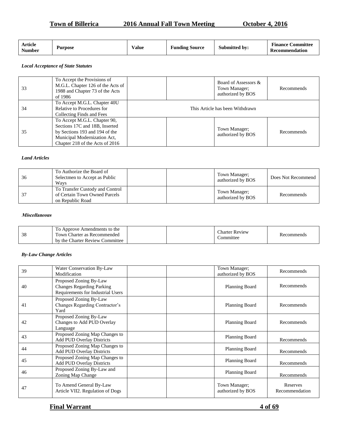# **Town of Billerica** 2016 Annual Fall Town Meeting October 4, 2016

| Article<br>$T$ $T$<br>√alue<br><b>Purpose</b><br>Number | $\mathbf{r}$<br>Source<br>Funding | $\blacksquare$<br>.`ommittee<br>Finance<br>Submitted by:<br><b>Recommendation</b> |
|---------------------------------------------------------|-----------------------------------|-----------------------------------------------------------------------------------|
|---------------------------------------------------------|-----------------------------------|-----------------------------------------------------------------------------------|

#### *Local Acceptance of State Statutes*

| 33 | To Accept the Provisions of<br>M.G.L. Chapter 126 of the Acts of<br>1988 and Chapter 73 of the Acts<br>of 1986                                                      | Board of Assessors &<br>Town Manager;<br>authorized by BOS | Recommends |  |
|----|---------------------------------------------------------------------------------------------------------------------------------------------------------------------|------------------------------------------------------------|------------|--|
| 34 | To Accept M.G.L. Chapter 40U<br>Relative to Procedures for<br>Collecting Finds and Fees                                                                             | This Article has been Withdrawn                            |            |  |
| 35 | To Accept M.G.L. Chapter 90,<br>Sections 17C and 18B, Inserted<br>by Sections 193 and 194 of the<br>Municipal Modernization Act,<br>Chapter 218 of the Acts of 2016 | Town Manager;<br>authorized by BOS                         | Recommends |  |

#### *Land Articles*

| 36 | To Authorize the Board of<br>Selectmen to Accept as Public<br>Ways                   | Town Manager;<br>authorized by BOS | Does Not Recommend |
|----|--------------------------------------------------------------------------------------|------------------------------------|--------------------|
|    | To Transfer Custody and Control<br>of Certain Town Owned Parcels<br>on Republic Road | Town Manager;<br>authorized by BOS | Recommends         |

#### **Miscellaneous**

| ാറ<br>эc | To Approve Amendments to the<br>Town Charter as Recommended<br>by the Charter Review Committee |  |  | <b>Charter Review</b><br>.ommittee | Recommends |
|----------|------------------------------------------------------------------------------------------------|--|--|------------------------------------|------------|
|----------|------------------------------------------------------------------------------------------------|--|--|------------------------------------|------------|

#### *By-Law Change Articles*

| 39 | Water Conservation By-Law<br>Modification                                                       | Town Manager;<br>authorized by BOS | Recommends                 |
|----|-------------------------------------------------------------------------------------------------|------------------------------------|----------------------------|
| 40 | Proposed Zoning By-Law<br><b>Changes Regarding Parking</b><br>Requirements for Industrial Users | Planning Board                     | Recommends                 |
| 41 | Proposed Zoning By-Law<br>Changes Regarding Contractor's<br>Yard                                | <b>Planning Board</b>              | Recommends                 |
| 42 | Proposed Zoning By-Law<br>Changes to Add PUD Overlay<br>Language                                | Planning Board                     | Recommends                 |
| 43 | Proposed Zoning Map Changes to<br><b>Add PUD Overlay Districts</b>                              | Planning Board                     | Recommends                 |
| 44 | Proposed Zoning Map Changes to<br><b>Add PUD Overlay Districts</b>                              | <b>Planning Board</b>              | Recommends                 |
| 45 | Proposed Zoning Map Changes to<br><b>Add PUD Overlay Districts</b>                              | <b>Planning Board</b>              | Recommends                 |
| 46 | Proposed Zoning By-Law and<br>Zoning Map Change                                                 | <b>Planning Board</b>              | Recommends                 |
| 47 | To Amend General By-Law<br>Article VII2. Regulation of Dogs                                     | Town Manager;<br>authorized by BOS | Reserves<br>Recommendation |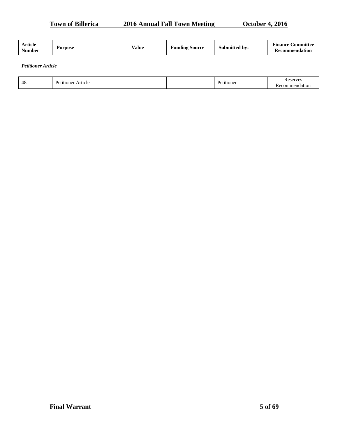**Town of Billerica** 2016 Annual Fall Town Meeting October 4, 2016

*Petitioner Article*

| $\overline{A}$<br>-48 | --<br>moner<br>Article |  |  | Pot<br>tioner | erves<br>n.<br>.<br>п |
|-----------------------|------------------------|--|--|---------------|-----------------------|
|-----------------------|------------------------|--|--|---------------|-----------------------|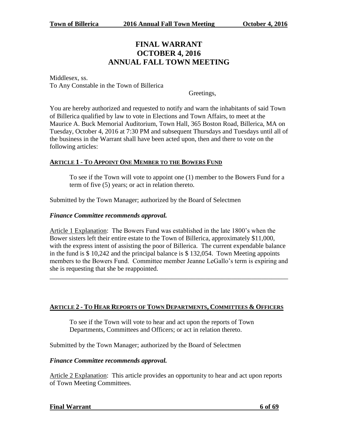# **FINAL WARRANT OCTOBER 4, 2016 ANNUAL FALL TOWN MEETING**

Middlesex, ss. To Any Constable in the Town of Billerica

Greetings,

You are hereby authorized and requested to notify and warn the inhabitants of said Town of Billerica qualified by law to vote in Elections and Town Affairs, to meet at the Maurice A. Buck Memorial Auditorium, Town Hall, 365 Boston Road, Billerica, MA on Tuesday, October 4, 2016 at 7:30 PM and subsequent Thursdays and Tuesdays until all of the business in the Warrant shall have been acted upon, then and there to vote on the following articles:

# **ARTICLE 1 - TO APPOINT ONE MEMBER TO THE BOWERS FUND**

To see if the Town will vote to appoint one (1) member to the Bowers Fund for a term of five (5) years; or act in relation thereto.

Submitted by the Town Manager; authorized by the Board of Selectmen

#### *Finance Committee recommends approval.*

Article 1 Explanation: The Bowers Fund was established in the late 1800's when the Bower sisters left their entire estate to the Town of Billerica, approximately \$11,000, with the express intent of assisting the poor of Billerica. The current expendable balance in the fund is \$ 10,242 and the principal balance is \$ 132,054. Town Meeting appoints members to the Bowers Fund. Committee member Jeanne LeGallo's term is expiring and she is requesting that she be reappointed.

\_\_\_\_\_\_\_\_\_\_\_\_\_\_\_\_\_\_\_\_\_\_\_\_\_\_\_\_\_\_\_\_\_\_\_\_\_\_\_\_\_\_\_\_\_\_\_\_\_\_\_\_\_\_\_\_\_\_\_\_\_\_\_\_\_\_\_\_\_\_\_\_

# **ARTICLE 2 - TO HEAR REPORTS OF TOWN DEPARTMENTS, COMMITTEES & OFFICERS**

To see if the Town will vote to hear and act upon the reports of Town Departments, Committees and Officers; or act in relation thereto.

Submitted by the Town Manager; authorized by the Board of Selectmen

#### *Finance Committee recommends approval.*

Article 2 Explanation: This article provides an opportunity to hear and act upon reports of Town Meeting Committees.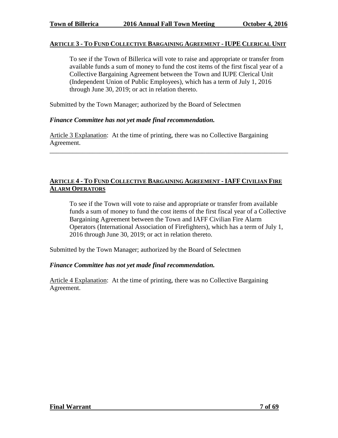#### **ARTICLE 3 - TO FUND COLLECTIVE BARGAINING AGREEMENT - IUPE CLERICAL UNIT**

To see if the Town of Billerica will vote to raise and appropriate or transfer from available funds a sum of money to fund the cost items of the first fiscal year of a Collective Bargaining Agreement between the Town and IUPE Clerical Unit (Independent Union of Public Employees), which has a term of July 1, 2016 through June 30, 2019; or act in relation thereto.

Submitted by the Town Manager; authorized by the Board of Selectmen

#### *Finance Committee has not yet made final recommendation.*

Article 3 Explanation: At the time of printing, there was no Collective Bargaining Agreement.

#### **ARTICLE 4 - TO FUND COLLECTIVE BARGAINING AGREEMENT - IAFF CIVILIAN FIRE ALARM OPERATORS**

\_\_\_\_\_\_\_\_\_\_\_\_\_\_\_\_\_\_\_\_\_\_\_\_\_\_\_\_\_\_\_\_\_\_\_\_\_\_\_\_\_\_\_\_\_\_\_\_\_\_\_\_\_\_\_\_\_\_\_\_\_\_\_\_\_\_\_\_\_\_\_\_

To see if the Town will vote to raise and appropriate or transfer from available funds a sum of money to fund the cost items of the first fiscal year of a Collective Bargaining Agreement between the Town and IAFF Civilian Fire Alarm Operators (International Association of Firefighters), which has a term of July 1, 2016 through June 30, 2019; or act in relation thereto.

Submitted by the Town Manager; authorized by the Board of Selectmen

#### *Finance Committee has not yet made final recommendation.*

Article 4 Explanation: At the time of printing, there was no Collective Bargaining Agreement.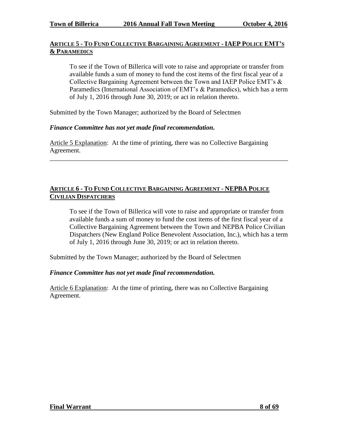# **ARTICLE 5 - TO FUND COLLECTIVE BARGAINING AGREEMENT - IAEP POLICE EMT'S & PARAMEDICS**

To see if the Town of Billerica will vote to raise and appropriate or transfer from available funds a sum of money to fund the cost items of the first fiscal year of a Collective Bargaining Agreement between the Town and IAEP Police EMT's & Paramedics (International Association of EMT's & Paramedics), which has a term of July 1, 2016 through June 30, 2019; or act in relation thereto.

Submitted by the Town Manager; authorized by the Board of Selectmen

#### *Finance Committee has not yet made final recommendation.*

Article 5 Explanation: At the time of printing, there was no Collective Bargaining Agreement.

\_\_\_\_\_\_\_\_\_\_\_\_\_\_\_\_\_\_\_\_\_\_\_\_\_\_\_\_\_\_\_\_\_\_\_\_\_\_\_\_\_\_\_\_\_\_\_\_\_\_\_\_\_\_\_\_\_\_\_\_\_\_\_\_\_\_\_\_\_\_\_\_

# **ARTICLE 6 - TO FUND COLLECTIVE BARGAINING AGREEMENT - NEPBA POLICE CIVILIAN DISPATCHERS**

To see if the Town of Billerica will vote to raise and appropriate or transfer from available funds a sum of money to fund the cost items of the first fiscal year of a Collective Bargaining Agreement between the Town and NEPBA Police Civilian Dispatchers (New England Police Benevolent Association, Inc.), which has a term of July 1, 2016 through June 30, 2019; or act in relation thereto.

Submitted by the Town Manager; authorized by the Board of Selectmen

# *Finance Committee has not yet made final recommendation.*

Article 6 Explanation: At the time of printing, there was no Collective Bargaining Agreement.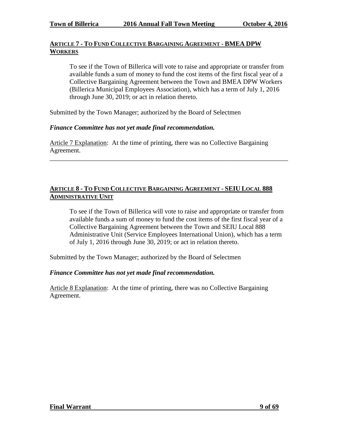# **ARTICLE 7 - TO FUND COLLECTIVE BARGAINING AGREEMENT - BMEA DPW WORKERS**

To see if the Town of Billerica will vote to raise and appropriate or transfer from available funds a sum of money to fund the cost items of the first fiscal year of a Collective Bargaining Agreement between the Town and BMEA DPW Workers (Billerica Municipal Employees Association), which has a term of July 1, 2016 through June 30, 2019; or act in relation thereto.

Submitted by the Town Manager; authorized by the Board of Selectmen

# *Finance Committee has not yet made final recommendation.*

Article 7 Explanation: At the time of printing, there was no Collective Bargaining Agreement.

\_\_\_\_\_\_\_\_\_\_\_\_\_\_\_\_\_\_\_\_\_\_\_\_\_\_\_\_\_\_\_\_\_\_\_\_\_\_\_\_\_\_\_\_\_\_\_\_\_\_\_\_\_\_\_\_\_\_\_\_\_\_\_\_\_\_\_\_\_\_\_\_

# **ARTICLE 8 - TO FUND COLLECTIVE BARGAINING AGREEMENT - SEIU LOCAL 888 ADMINISTRATIVE UNIT**

To see if the Town of Billerica will vote to raise and appropriate or transfer from available funds a sum of money to fund the cost items of the first fiscal year of a Collective Bargaining Agreement between the Town and SEIU Local 888 Administrative Unit (Service Employees International Union), which has a term of July 1, 2016 through June 30, 2019; or act in relation thereto.

Submitted by the Town Manager; authorized by the Board of Selectmen

# *Finance Committee has not yet made final recommendation.*

Article 8 Explanation: At the time of printing, there was no Collective Bargaining Agreement.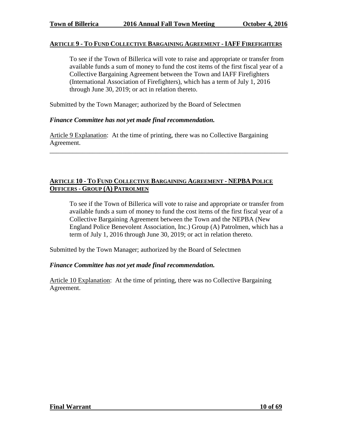#### **ARTICLE 9 - TO FUND COLLECTIVE BARGAINING AGREEMENT - IAFF FIREFIGHTERS**

To see if the Town of Billerica will vote to raise and appropriate or transfer from available funds a sum of money to fund the cost items of the first fiscal year of a Collective Bargaining Agreement between the Town and IAFF Firefighters (International Association of Firefighters), which has a term of July 1, 2016 through June 30, 2019; or act in relation thereto.

Submitted by the Town Manager; authorized by the Board of Selectmen

#### *Finance Committee has not yet made final recommendation.*

Article 9 Explanation: At the time of printing, there was no Collective Bargaining Agreement.

\_\_\_\_\_\_\_\_\_\_\_\_\_\_\_\_\_\_\_\_\_\_\_\_\_\_\_\_\_\_\_\_\_\_\_\_\_\_\_\_\_\_\_\_\_\_\_\_\_\_\_\_\_\_\_\_\_\_\_\_\_\_\_\_\_\_\_\_\_\_\_\_

#### **ARTICLE 10 - TO FUND COLLECTIVE BARGAINING AGREEMENT - NEPBA POLICE OFFICERS - GROUP (A) PATROLMEN**

To see if the Town of Billerica will vote to raise and appropriate or transfer from available funds a sum of money to fund the cost items of the first fiscal year of a Collective Bargaining Agreement between the Town and the NEPBA (New England Police Benevolent Association, Inc.) Group (A) Patrolmen, which has a term of July 1, 2016 through June 30, 2019; or act in relation thereto.

Submitted by the Town Manager; authorized by the Board of Selectmen

#### *Finance Committee has not yet made final recommendation.*

Article 10 Explanation: At the time of printing, there was no Collective Bargaining Agreement.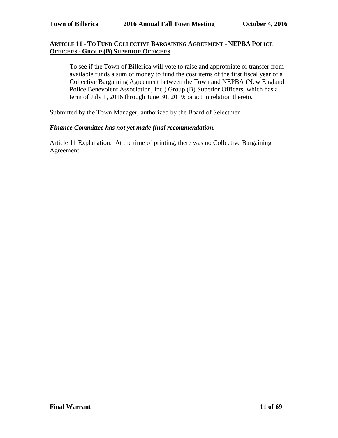# **ARTICLE 11 - TO FUND COLLECTIVE BARGAINING AGREEMENT - NEPBA POLICE OFFICERS - GROUP (B) SUPERIOR OFFICERS**

To see if the Town of Billerica will vote to raise and appropriate or transfer from available funds a sum of money to fund the cost items of the first fiscal year of a Collective Bargaining Agreement between the Town and NEPBA (New England Police Benevolent Association, Inc.) Group (B) Superior Officers, which has a term of July 1, 2016 through June 30, 2019; or act in relation thereto.

Submitted by the Town Manager; authorized by the Board of Selectmen

#### *Finance Committee has not yet made final recommendation.*

Article 11 Explanation: At the time of printing, there was no Collective Bargaining Agreement.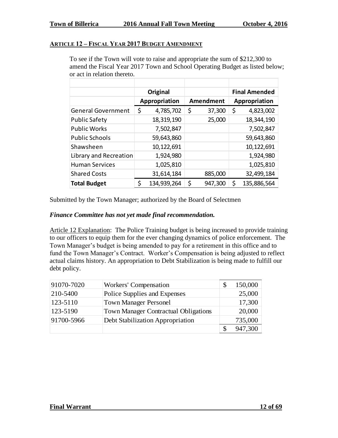#### **ARTICLE 12 – FISCAL YEAR 2017 BUDGET AMENDMENT**

To see if the Town will vote to raise and appropriate the sum of \$212,300 to amend the Fiscal Year 2017 Town and School Operating Budget as listed below; or act in relation thereto.

|                           | Original        |              | <b>Final Amended</b> |
|---------------------------|-----------------|--------------|----------------------|
|                           | Appropriation   | Amendment    | Appropriation        |
| <b>General Government</b> | \$<br>4,785,702 | \$<br>37,300 | 4,823,002<br>\$      |
| <b>Public Safety</b>      | 18,319,190      | 25,000       | 18,344,190           |
| <b>Public Works</b>       | 7,502,847       |              | 7,502,847            |
| <b>Public Schools</b>     | 59,643,860      |              | 59,643,860           |
| Shawsheen                 | 10,122,691      |              | 10,122,691           |
| Library and Recreation    | 1,924,980       |              | 1,924,980            |
| <b>Human Services</b>     | 1,025,810       |              | 1,025,810            |
| <b>Shared Costs</b>       | 31,614,184      | 885,000      | 32,499,184           |
| <b>Total Budget</b>       | 134,939,264     | 947,300      | 135,886,564<br>S     |

Submitted by the Town Manager; authorized by the Board of Selectmen

#### *Finance Committee has not yet made final recommendation.*

Article 12 Explanation: The Police Training budget is being increased to provide training to our officers to equip them for the ever changing dynamics of police enforcement. The Town Manager's budget is being amended to pay for a retirement in this office and to fund the Town Manager's Contract. Worker's Compensation is being adjusted to reflect actual claims history. An appropriation to Debt Stabilization is being made to fulfill our debt policy.

| 91070-7020 | Workers' Compensation                       | 150,000 |
|------------|---------------------------------------------|---------|
| 210-5400   | Police Supplies and Expenses                | 25,000  |
| 123-5110   | <b>Town Manager Personel</b>                | 17,300  |
| 123-5190   | <b>Town Manager Contractual Obligations</b> | 20,000  |
| 91700-5966 | Debt Stabilization Appropriation            | 735,000 |
|            |                                             | 947,300 |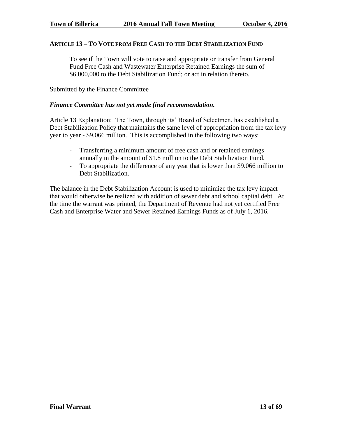#### **ARTICLE 13 – TO VOTE FROM FREE CASH TO THE DEBT STABILIZATION FUND**

To see if the Town will vote to raise and appropriate or transfer from General Fund Free Cash and Wastewater Enterprise Retained Earnings the sum of \$6,000,000 to the Debt Stabilization Fund; or act in relation thereto.

Submitted by the Finance Committee

#### *Finance Committee has not yet made final recommendation.*

Article 13 Explanation: The Town, through its' Board of Selectmen, has established a Debt Stabilization Policy that maintains the same level of appropriation from the tax levy year to year - \$9.066 million. This is accomplished in the following two ways:

- Transferring a minimum amount of free cash and or retained earnings annually in the amount of \$1.8 million to the Debt Stabilization Fund.
- To appropriate the difference of any year that is lower than \$9.066 million to Debt Stabilization.

The balance in the Debt Stabilization Account is used to minimize the tax levy impact that would otherwise be realized with addition of sewer debt and school capital debt. At the time the warrant was printed, the Department of Revenue had not yet certified Free Cash and Enterprise Water and Sewer Retained Earnings Funds as of July 1, 2016.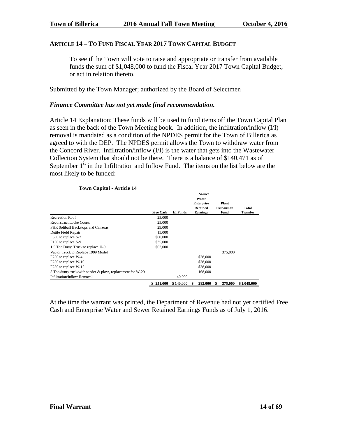#### **ARTICLE 14 – TO FUND FISCAL YEAR 2017 TOWN CAPITAL BUDGET**

To see if the Town will vote to raise and appropriate or transfer from available funds the sum of \$1,048,000 to fund the Fiscal Year 2017 Town Capital Budget; or act in relation thereto.

Submitted by the Town Manager; authorized by the Board of Selectmen

#### *Finance Committee has not yet made final recommendation.*

Article 14 Explanation: These funds will be used to fund items off the Town Capital Plan as seen in the back of the Town Meeting book. In addition, the infiltration/inflow (I/I) removal is mandated as a condition of the NPDES permit for the Town of Billerica as agreed to with the DEP. The NPDES permit allows the Town to withdraw water from the Concord River. Infiltration/inflow (I/I) is the water that gets into the Wastewater Collection System that should not be there. There is a balance of \$140,471 as of September  $1<sup>st</sup>$  in the Infiltration and Inflow Fund. The items on the list below are the most likely to be funded:

|                                                           |                  |                  | Source            |   |                   |                 |
|-----------------------------------------------------------|------------------|------------------|-------------------|---|-------------------|-----------------|
|                                                           |                  |                  | Water             |   |                   |                 |
|                                                           |                  |                  | <b>Enterprise</b> |   | Plant             |                 |
|                                                           |                  |                  | <b>Retained</b>   |   | <b>Exspansion</b> | <b>Total</b>    |
|                                                           | <b>Free Cash</b> | <b>I/I Funds</b> | <b>Earnings</b>   |   | Fund              | <b>Transfer</b> |
| <b>Recreation Roof</b>                                    | 25,000           |                  |                   |   |                   |                 |
| Reconstruct Locke Courts                                  | 25,000           |                  |                   |   |                   |                 |
| PHR Softball Backstops and Cameras                        | 29,000           |                  |                   |   |                   |                 |
| Dutile Field Repair                                       | 15,000           |                  |                   |   |                   |                 |
| F550 to replace S-7                                       | \$60,000         |                  |                   |   |                   |                 |
| F150 to replace S-9                                       | \$35,000         |                  |                   |   |                   |                 |
| 1.5 Ton Dump Truck to replace H-9                         | \$62,000         |                  |                   |   |                   |                 |
| Vactor Truck to Replace 1999 Model                        |                  |                  |                   |   | 375,000           |                 |
| F250 to replace W-4                                       |                  |                  | \$38,000          |   |                   |                 |
| F250 to replace W-10                                      |                  |                  | \$38,000          |   |                   |                 |
| F <sub>250</sub> to replace W-12                          |                  |                  | \$38,000          |   |                   |                 |
| 5 Ton dump truck/with sander & plow, replacement for W-20 |                  |                  | 168,000           |   |                   |                 |
| Infiltration/Inflow Removal                               |                  | 140,000          |                   |   |                   |                 |
|                                                           | \$251,000        | \$140,000        | 282,000<br>\$     | S | 375,000           | \$1,048,000     |

#### **Town Capital - Article 14**

At the time the warrant was printed, the Department of Revenue had not yet certified Free Cash and Enterprise Water and Sewer Retained Earnings Funds as of July 1, 2016.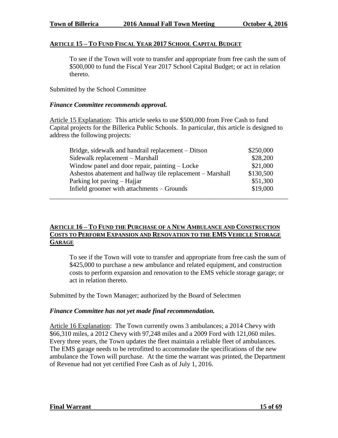#### **ARTICLE 15 – TO FUND FISCAL YEAR 2017 SCHOOL CAPITAL BUDGET**

To see if the Town will vote to transfer and appropriate from free cash the sum of \$500,000 to fund the Fiscal Year 2017 School Capital Budget; or act in relation thereto.

Submitted by the School Committee

#### *Finance Committee recommends approval.*

Article 15 Explanation: This article seeks to use \$500,000 from Free Cash to fund Capital projects for the Billerica Public Schools. In particular, this article is designed to address the following projects:

| Bridge, sidewalk and handrail replacement – Ditson         | \$250,000 |
|------------------------------------------------------------|-----------|
| Sidewalk replacement - Marshall                            | \$28,200  |
| Window panel and door repair, painting – Locke             | \$21,000  |
| Asbestos abatement and hallway tile replacement – Marshall | \$130,500 |
| Parking lot paving – Hajjar                                | \$51,300  |
| Infield groomer with attachments - Grounds                 | \$19,000  |
|                                                            |           |

# **ARTICLE 16 – TO FUND THE PURCHASE OF A NEW AMBULANCE AND CONSTRUCTION COSTS TO PERFORM EXPANSION AND RENOVATION TO THE EMS VEHICLE STORAGE GARAGE**

To see if the Town will vote to transfer and appropriate from free cash the sum of \$425,000 to purchase a new ambulance and related equipment, and construction costs to perform expansion and renovation to the EMS vehicle storage garage; or act in relation thereto.

Submitted by the Town Manager; authorized by the Board of Selectmen

# *Finance Committee has not yet made final recommendation.*

Article 16 Explanation: The Town currently owns 3 ambulances; a 2014 Chevy with \$66,310 miles, a 2012 Chevy with 97,248 miles and a 2009 Ford with 121,060 miles. Every three years, the Town updates the fleet maintain a reliable fleet of ambulances. The EMS garage needs to be retrofitted to accommodate the specifications of the new ambulance the Town will purchase. At the time the warrant was printed, the Department of Revenue had not yet certified Free Cash as of July 1, 2016.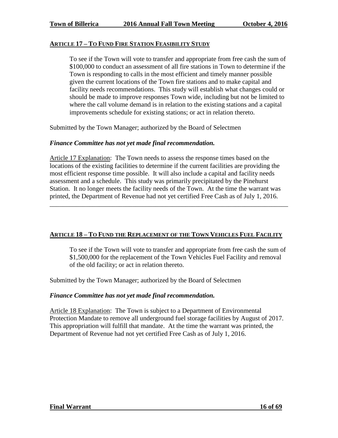#### **ARTICLE 17 – TO FUND FIRE STATION FEASIBILITY STUDY**

To see if the Town will vote to transfer and appropriate from free cash the sum of \$100,000 to conduct an assessment of all fire stations in Town to determine if the Town is responding to calls in the most efficient and timely manner possible given the current locations of the Town fire stations and to make capital and facility needs recommendations. This study will establish what changes could or should be made to improve responses Town wide, including but not be limited to where the call volume demand is in relation to the existing stations and a capital improvements schedule for existing stations; or act in relation thereto.

Submitted by the Town Manager; authorized by the Board of Selectmen

#### *Finance Committee has not yet made final recommendation.*

Article 17 Explanation: The Town needs to assess the response times based on the locations of the existing facilities to determine if the current facilities are providing the most efficient response time possible. It will also include a capital and facility needs assessment and a schedule. This study was primarily precipitated by the Pinehurst Station. It no longer meets the facility needs of the Town. At the time the warrant was printed, the Department of Revenue had not yet certified Free Cash as of July 1, 2016.

\_\_\_\_\_\_\_\_\_\_\_\_\_\_\_\_\_\_\_\_\_\_\_\_\_\_\_\_\_\_\_\_\_\_\_\_\_\_\_\_\_\_\_\_\_\_\_\_\_\_\_\_\_\_\_\_\_\_\_\_\_\_\_\_\_\_\_\_\_\_\_\_

# **ARTICLE 18 – TO FUND THE REPLACEMENT OF THE TOWN VEHICLES FUEL FACILITY**

To see if the Town will vote to transfer and appropriate from free cash the sum of \$1,500,000 for the replacement of the Town Vehicles Fuel Facility and removal of the old facility; or act in relation thereto.

Submitted by the Town Manager; authorized by the Board of Selectmen

#### *Finance Committee has not yet made final recommendation.*

Article 18 Explanation: The Town is subject to a Department of Environmental Protection Mandate to remove all underground fuel storage facilities by August of 2017. This appropriation will fulfill that mandate. At the time the warrant was printed, the Department of Revenue had not yet certified Free Cash as of July 1, 2016.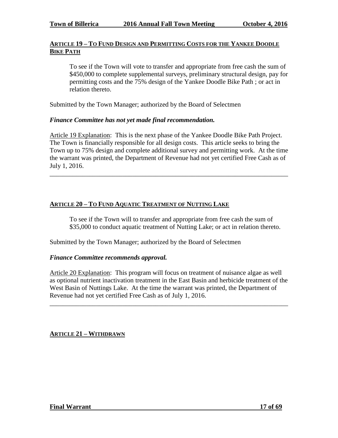#### **ARTICLE 19 – TO FUND DESIGN AND PERMITTING COSTS FOR THE YANKEE DOODLE BIKE PATH**

To see if the Town will vote to transfer and appropriate from free cash the sum of \$450,000 to complete supplemental surveys, preliminary structural design, pay for permitting costs and the 75% design of the Yankee Doodle Bike Path ; or act in relation thereto.

Submitted by the Town Manager; authorized by the Board of Selectmen

#### *Finance Committee has not yet made final recommendation.*

Article 19 Explanation: This is the next phase of the Yankee Doodle Bike Path Project. The Town is financially responsible for all design costs. This article seeks to bring the Town up to 75% design and complete additional survey and permitting work. At the time the warrant was printed, the Department of Revenue had not yet certified Free Cash as of July 1, 2016.

\_\_\_\_\_\_\_\_\_\_\_\_\_\_\_\_\_\_\_\_\_\_\_\_\_\_\_\_\_\_\_\_\_\_\_\_\_\_\_\_\_\_\_\_\_\_\_\_\_\_\_\_\_\_\_\_\_\_\_\_\_\_\_\_\_\_\_\_\_\_\_\_

#### **ARTICLE 20 – TO FUND AQUATIC TREATMENT OF NUTTING LAKE**

To see if the Town will to transfer and appropriate from free cash the sum of \$35,000 to conduct aquatic treatment of Nutting Lake; or act in relation thereto.

Submitted by the Town Manager; authorized by the Board of Selectmen

#### *Finance Committee recommends approval.*

Article 20 Explanation: This program will focus on treatment of nuisance algae as well as optional nutrient inactivation treatment in the East Basin and herbicide treatment of the West Basin of Nuttings Lake. At the time the warrant was printed, the Department of Revenue had not yet certified Free Cash as of July 1, 2016.

\_\_\_\_\_\_\_\_\_\_\_\_\_\_\_\_\_\_\_\_\_\_\_\_\_\_\_\_\_\_\_\_\_\_\_\_\_\_\_\_\_\_\_\_\_\_\_\_\_\_\_\_\_\_\_\_\_\_\_\_\_\_\_\_\_\_\_\_\_\_\_\_

**ARTICLE 21 – WITHDRAWN**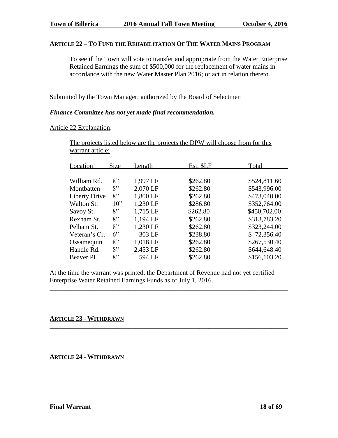#### **ARTICLE 22 – TO FUND THE REHABILITATION OF THE WATER MAINS PROGRAM**

To see if the Town will vote to transfer and appropriate from the Water Enterprise Retained Earnings the sum of \$500,000 for the replacement of water mains in accordance with the new Water Master Plan 2016; or act in relation thereto.

Submitted by the Town Manager; authorized by the Board of Selectmen

#### *Finance Committee has not yet made final recommendation.*

Article 22 Explanation:

The projects listed below are the projects the DPW will choose from for this warrant article:

| \$524,811.60 |
|--------------|
| \$543,996.00 |
| \$473,040.00 |
| \$352,764.00 |
| \$450,702.00 |
| \$313,783.20 |
| \$323,244.00 |
| \$72,356.40  |
| \$267,530.40 |
| \$644,648.40 |
| \$156,103.20 |
|              |

At the time the warrant was printed, the Department of Revenue had not yet certified Enterprise Water Retained Earnings Funds as of July 1, 2016.

\_\_\_\_\_\_\_\_\_\_\_\_\_\_\_\_\_\_\_\_\_\_\_\_\_\_\_\_\_\_\_\_\_\_\_\_\_\_\_\_\_\_\_\_\_\_\_\_\_\_\_\_\_\_\_\_\_\_\_\_\_\_\_\_\_\_\_\_\_\_\_\_

\_\_\_\_\_\_\_\_\_\_\_\_\_\_\_\_\_\_\_\_\_\_\_\_\_\_\_\_\_\_\_\_\_\_\_\_\_\_\_\_\_\_\_\_\_\_\_\_\_\_\_\_\_\_\_\_\_\_\_\_\_\_\_\_\_\_\_\_\_\_\_\_

#### **ARTICLE 23 - WITHDRAWN**

**ARTICLE 24 - WITHDRAWN**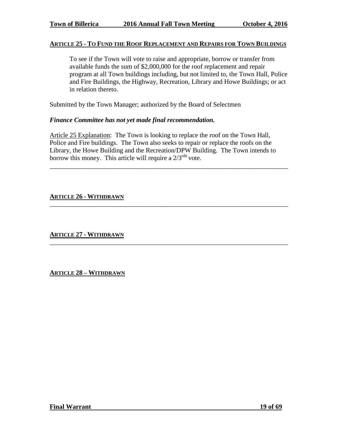#### **ARTICLE 25 - TO FUND THE ROOF REPLACEMENT AND REPAIRS FOR TOWN BUILDINGS**

To see if the Town will vote to raise and appropriate, borrow or transfer from available funds the sum of \$2,000,000 for the roof replacement and repair program at all Town buildings including, but not limited to, the Town Hall, Police and Fire Buildings, the Highway, Recreation, Library and Howe Buildings; or act in relation thereto.

Submitted by the Town Manager; authorized by the Board of Selectmen

#### *Finance Committee has not yet made final recommendation.*

Article 25 Explanation: The Town is looking to replace the roof on the Town Hall, Police and Fire buildings. The Town also seeks to repair or replace the roofs on the Library, the Howe Building and the Recreation/DPW Building. The Town intends to borrow this money. This article will require a  $2/3^{rds}$  vote.

\_\_\_\_\_\_\_\_\_\_\_\_\_\_\_\_\_\_\_\_\_\_\_\_\_\_\_\_\_\_\_\_\_\_\_\_\_\_\_\_\_\_\_\_\_\_\_\_\_\_\_\_\_\_\_\_\_\_\_\_\_\_\_\_\_\_\_\_\_\_\_\_

\_\_\_\_\_\_\_\_\_\_\_\_\_\_\_\_\_\_\_\_\_\_\_\_\_\_\_\_\_\_\_\_\_\_\_\_\_\_\_\_\_\_\_\_\_\_\_\_\_\_\_\_\_\_\_\_\_\_\_\_\_\_\_\_\_\_\_\_\_\_\_\_

\_\_\_\_\_\_\_\_\_\_\_\_\_\_\_\_\_\_\_\_\_\_\_\_\_\_\_\_\_\_\_\_\_\_\_\_\_\_\_\_\_\_\_\_\_\_\_\_\_\_\_\_\_\_\_\_\_\_\_\_\_\_\_\_\_\_\_\_\_\_\_\_

#### **ARTICLE 26 - WITHDRAWN**

**ARTICLE 27 - WITHDRAWN**

**ARTICLE 28 – WITHDRAWN**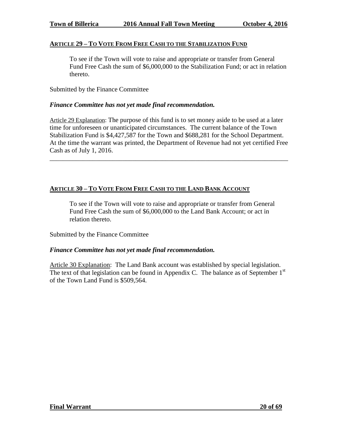#### **ARTICLE 29 – TO VOTE FROM FREE CASH TO THE STABILIZATION FUND**

To see if the Town will vote to raise and appropriate or transfer from General Fund Free Cash the sum of \$6,000,000 to the Stabilization Fund; or act in relation thereto.

Submitted by the Finance Committee

#### *Finance Committee has not yet made final recommendation.*

Article 29 Explanation: The purpose of this fund is to set money aside to be used at a later time for unforeseen or unanticipated circumstances. The current balance of the Town Stabilization Fund is \$4,427,587 for the Town and \$688,281 for the School Department. At the time the warrant was printed, the Department of Revenue had not yet certified Free Cash as of July 1, 2016.

\_\_\_\_\_\_\_\_\_\_\_\_\_\_\_\_\_\_\_\_\_\_\_\_\_\_\_\_\_\_\_\_\_\_\_\_\_\_\_\_\_\_\_\_\_\_\_\_\_\_\_\_\_\_\_\_\_\_\_\_\_\_\_\_\_\_\_\_\_\_\_\_

# **ARTICLE 30 – TO VOTE FROM FREE CASH TO THE LAND BANK ACCOUNT**

To see if the Town will vote to raise and appropriate or transfer from General Fund Free Cash the sum of \$6,000,000 to the Land Bank Account; or act in relation thereto.

Submitted by the Finance Committee

#### *Finance Committee has not yet made final recommendation.*

Article 30 Explanation: The Land Bank account was established by special legislation. The text of that legislation can be found in Appendix C. The balance as of September  $1<sup>st</sup>$ of the Town Land Fund is \$509,564.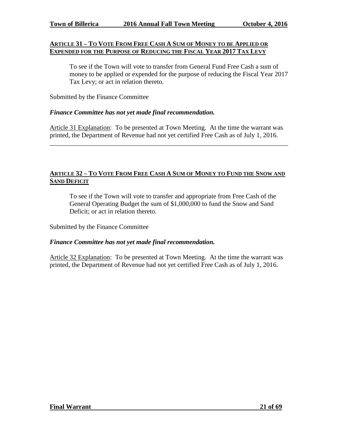#### **ARTICLE 31 – TO VOTE FROM FREE CASH A SUM OF MONEY TO BE APPLIED OR EXPENDED FOR THE PURPOSE OF REDUCING THE FISCAL YEAR 2017 TAX LEVY**

To see if the Town will vote to transfer from General Fund Free Cash a sum of money to be applied or expended for the purpose of reducing the Fiscal Year 2017 Tax Levy; or act in relation thereto.

Submitted by the Finance Committee

#### *Finance Committee has not yet made final recommendation.*

Article 31 Explanation: To be presented at Town Meeting. At the time the warrant was printed, the Department of Revenue had not yet certified Free Cash as of July 1, 2016.

\_\_\_\_\_\_\_\_\_\_\_\_\_\_\_\_\_\_\_\_\_\_\_\_\_\_\_\_\_\_\_\_\_\_\_\_\_\_\_\_\_\_\_\_\_\_\_\_\_\_\_\_\_\_\_\_\_\_\_\_\_\_\_\_\_\_\_\_\_\_\_\_

#### ARTICLE 32 - TO VOTE FROM FREE CASH A SUM OF MONEY TO FUND THE SNOW AND **SAND DEFICIT**

To see if the Town will vote to transfer and appropriate from Free Cash of the General Operating Budget the sum of \$1,000,000 to fund the Snow and Sand Deficit; or act in relation thereto.

Submitted by the Finance Committee

#### *Finance Committee has not yet made final recommendation.*

Article 32 Explanation: To be presented at Town Meeting. At the time the warrant was printed, the Department of Revenue had not yet certified Free Cash as of July 1, 2016.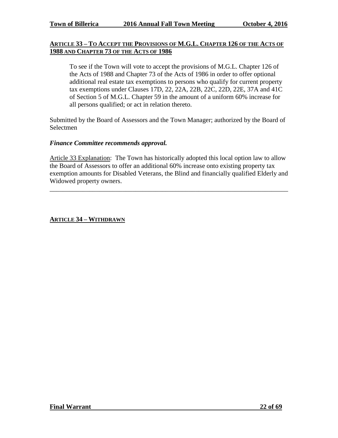#### **ARTICLE 33 – TO ACCEPT THE PROVISIONS OF M.G.L. CHAPTER 126 OF THE ACTS OF 1988 AND CHAPTER 73 OF THE ACTS OF 1986**

To see if the Town will vote to accept the provisions of M.G.L. Chapter 126 of the Acts of 1988 and Chapter 73 of the Acts of 1986 in order to offer optional additional real estate tax exemptions to persons who qualify for current property tax exemptions under Clauses 17D, 22, 22A, 22B, 22C, 22D, 22E, 37A and 41C of Section 5 of M.G.L. Chapter 59 in the amount of a uniform 60% increase for all persons qualified; or act in relation thereto.

Submitted by the Board of Assessors and the Town Manager; authorized by the Board of Selectmen

#### *Finance Committee recommends approval.*

Article 33 Explanation: The Town has historically adopted this local option law to allow the Board of Assessors to offer an additional 60% increase onto existing property tax exemption amounts for Disabled Veterans, the Blind and financially qualified Elderly and Widowed property owners.

\_\_\_\_\_\_\_\_\_\_\_\_\_\_\_\_\_\_\_\_\_\_\_\_\_\_\_\_\_\_\_\_\_\_\_\_\_\_\_\_\_\_\_\_\_\_\_\_\_\_\_\_\_\_\_\_\_\_\_\_\_\_\_\_\_\_\_\_\_\_\_\_

#### **ARTICLE 34 – WITHDRAWN**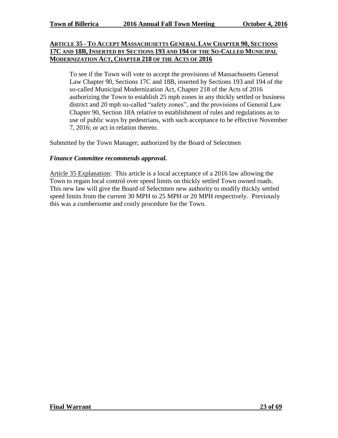#### **ARTICLE 35 - TO ACCEPT MASSACHUSETTS GENERAL LAW CHAPTER 90, SECTIONS 17C AND 18B, INSERTED BY SECTIONS 193 AND 194 OF THE SO-CALLED MUNICIPAL MODERNIZATION ACT, CHAPTER 218 OF THE ACTS OF 2016**

To see if the Town will vote to accept the provisions of Massachusetts General Law Chapter 90, Sections 17C and 18B, inserted by Sections 193 and 194 of the so-called Municipal Modernization Act, Chapter 218 of the Acts of 2016 authorizing the Town to establish 25 mph zones in any thickly settled or business district and 20 mph so-called "safety zones", and the provisions of General Law Chapter 90, Section 18A relative to establishment of rules and regulations as to use of public ways by pedestrians, with such acceptance to be effective November 7, 2016; or act in relation thereto.

Submitted by the Town Manager; authorized by the Board of Selectmen

#### *Finance Committee recommends approval.*

Article 35 Explanation: This article is a local acceptance of a 2016 law allowing the Town to regain local control over speed limits on thickly settled Town owned roads. This new law will give the Board of Selectmen new authority to modify thickly settled speed limits from the current 30 MPH to 25 MPH or 20 MPH respectively. Previously this was a cumbersome and costly procedure for the Town.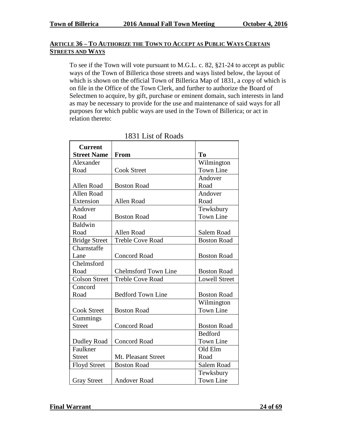# **ARTICLE 36 – TO AUTHORIZE THE TOWN TO ACCEPT AS PUBLIC WAYS CERTAIN STREETS AND WAYS**

To see if the Town will vote pursuant to M.G.L. c. 82, §21-24 to accept as public ways of the Town of Billerica those streets and ways listed below, the layout of which is shown on the official Town of Billerica Map of 1831, a copy of which is on file in the Office of the Town Clerk, and further to authorize the Board of Selectmen to acquire, by gift, purchase or eminent domain, such interests in land as may be necessary to provide for the use and maintenance of said ways for all purposes for which public ways are used in the Town of Billerica; or act in relation thereto:

| <b>Current</b><br><b>Street Name</b> |                             | T <sub>0</sub>       |
|--------------------------------------|-----------------------------|----------------------|
| Alexander                            | From                        | Wilmington           |
| Road                                 | <b>Cook Street</b>          | <b>Town Line</b>     |
|                                      |                             | Andover              |
| Allen Road                           | <b>Boston Road</b>          | Road                 |
| <b>Allen Road</b>                    |                             | Andover              |
| Extension                            | Allen Road                  | Road                 |
| Andover                              |                             | Tewksbury            |
| Road                                 | <b>Boston Road</b>          | <b>Town Line</b>     |
| Baldwin                              |                             |                      |
| Road                                 | Allen Road                  | Salem Road           |
| <b>Bridge Street</b>                 | <b>Treble Cove Road</b>     | <b>Boston Road</b>   |
| Charnstaffe                          |                             |                      |
| Lane                                 | <b>Concord Road</b>         | <b>Boston Road</b>   |
| Chelmsford                           |                             |                      |
| Road                                 | <b>Chelmsford Town Line</b> | <b>Boston Road</b>   |
| <b>Colson Street</b>                 | <b>Treble Cove Road</b>     | <b>Lowell Street</b> |
| Concord                              |                             |                      |
| Road                                 | <b>Bedford Town Line</b>    | <b>Boston Road</b>   |
|                                      |                             | Wilmington           |
| <b>Cook Street</b>                   | <b>Boston Road</b>          | <b>Town Line</b>     |
| Cummings                             |                             |                      |
| <b>Street</b>                        | <b>Concord Road</b>         | <b>Boston Road</b>   |
|                                      |                             | <b>Bedford</b>       |
| <b>Dudley Road</b>                   | <b>Concord Road</b>         | <b>Town Line</b>     |
| Faulkner                             |                             | Old Elm              |
| <b>Street</b>                        | Mt. Pleasant Street         | Road                 |
| <b>Floyd Street</b>                  | <b>Boston Road</b>          | Salem Road           |
|                                      |                             | Tewksbury            |
| <b>Gray Street</b>                   | <b>Andover Road</b>         | <b>Town Line</b>     |

1831 List of Roads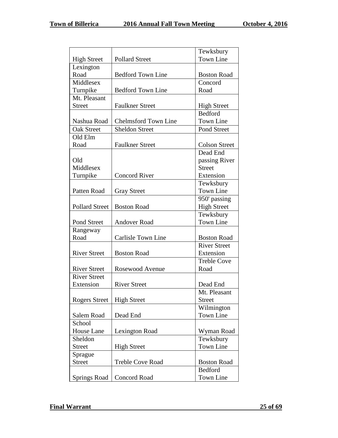|                       |                             | Tewksbury            |
|-----------------------|-----------------------------|----------------------|
| <b>High Street</b>    | <b>Pollard Street</b>       | <b>Town Line</b>     |
| Lexington             |                             |                      |
| Road                  | <b>Bedford Town Line</b>    | <b>Boston Road</b>   |
| Middlesex             |                             | Concord              |
| Turnpike              | <b>Bedford Town Line</b>    | Road                 |
| Mt. Pleasant          |                             |                      |
| <b>Street</b>         | <b>Faulkner Street</b>      | <b>High Street</b>   |
|                       |                             | <b>Bedford</b>       |
| Nashua Road           | <b>Chelmsford Town Line</b> | Town Line            |
| <b>Oak Street</b>     | <b>Sheldon Street</b>       | Pond Street          |
| Old Elm               |                             |                      |
| Road                  | <b>Faulkner Street</b>      | <b>Colson Street</b> |
|                       |                             | Dead End             |
| Old                   |                             | passing River        |
| Middlesex             |                             | <b>Street</b>        |
| Turnpike              | <b>Concord River</b>        | Extension            |
|                       |                             | Tewksbury            |
| Patten Road           | <b>Gray Street</b>          | <b>Town Line</b>     |
|                       |                             | 950' passing         |
| <b>Pollard Street</b> | <b>Boston Road</b>          | <b>High Street</b>   |
|                       |                             | Tewksbury            |
| Pond Street           | <b>Andover Road</b>         | <b>Town Line</b>     |
| Rangeway              |                             |                      |
| Road                  | Carlisle Town Line          | <b>Boston Road</b>   |
|                       |                             | <b>River Street</b>  |
| <b>River Street</b>   | <b>Boston Road</b>          | Extension            |
|                       |                             | <b>Treble Cove</b>   |
| <b>River Street</b>   | Rosewood Avenue             | Road                 |
| <b>River Street</b>   |                             |                      |
| Extension             | <b>River Street</b>         | Dead End             |
|                       |                             | Mt. Pleasant         |
| <b>Rogers Street</b>  | <b>High Street</b>          | <b>Street</b>        |
|                       |                             | Wilmington           |
| Salem Road            | Dead End                    | <b>Town Line</b>     |
| School                |                             |                      |
| House Lane            | Lexington Road              | Wyman Road           |
| Sheldon               |                             | Tewksbury            |
| <b>Street</b>         | <b>High Street</b>          | <b>Town Line</b>     |
| Sprague               |                             |                      |
| <b>Street</b>         | <b>Treble Cove Road</b>     | <b>Boston Road</b>   |
|                       |                             | <b>Bedford</b>       |
| <b>Springs Road</b>   | Concord Road                | Town Line            |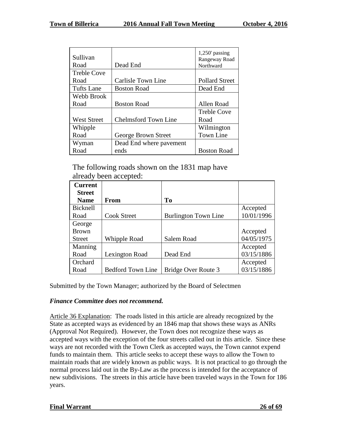| Sullivan           |                             | $1,250$ passing<br>Rangeway Road |
|--------------------|-----------------------------|----------------------------------|
| Road               | Dead End                    | Northward                        |
| <b>Treble Cove</b> |                             |                                  |
| Road               | <b>Carlisle Town Line</b>   | <b>Pollard Street</b>            |
| Tufts Lane         | <b>Boston Road</b>          | Dead End                         |
| Webb Brook         |                             |                                  |
| Road               | <b>Boston Road</b>          | Allen Road                       |
|                    |                             | <b>Treble Cove</b>               |
| <b>West Street</b> | <b>Chelmsford Town Line</b> | Road                             |
| Whipple            |                             | Wilmington                       |
| Road               | George Brown Street         | <b>Town Line</b>                 |
| Wyman              | Dead End where pavement     |                                  |
| Road               | ends                        | <b>Boston Road</b>               |

The following roads shown on the 1831 map have already been accepted:

| <b>Current</b> |                          |                             |            |
|----------------|--------------------------|-----------------------------|------------|
| <b>Street</b>  |                          |                             |            |
| <b>Name</b>    | <b>From</b>              | T <sub>0</sub>              |            |
| Bicknell       |                          |                             | Accepted   |
| Road           | <b>Cook Street</b>       | <b>Burlington Town Line</b> | 10/01/1996 |
| George         |                          |                             |            |
| <b>Brown</b>   |                          |                             | Accepted   |
| <b>Street</b>  | Whipple Road             | Salem Road                  | 04/05/1975 |
| Manning        |                          |                             | Accepted   |
| Road           | Lexington Road           | Dead End                    | 03/15/1886 |
| Orchard        |                          |                             | Accepted   |
| Road           | <b>Bedford Town Line</b> | Bridge Over Route 3         | 03/15/1886 |

Submitted by the Town Manager; authorized by the Board of Selectmen

# *Finance Committee does not recommend.*

Article 36 Explanation: The roads listed in this article are already recognized by the State as accepted ways as evidenced by an 1846 map that shows these ways as ANRs (Approval Not Required). However, the Town does not recognize these ways as accepted ways with the exception of the four streets called out in this article. Since these ways are not recorded with the Town Clerk as accepted ways, the Town cannot expend funds to maintain them. This article seeks to accept these ways to allow the Town to maintain roads that are widely known as public ways. It is not practical to go through the normal process laid out in the By-Law as the process is intended for the acceptance of new subdivisions. The streets in this article have been traveled ways in the Town for 186 years.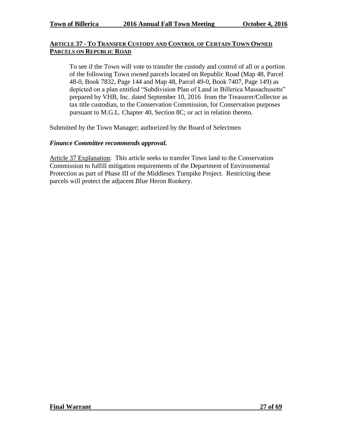#### **ARTICLE 37 - TO TRANSFER CUSTODY AND CONTROL OF CERTAIN TOWN OWNED PARCELS ON REPUBLIC ROAD**

To see if the Town will vote to transfer the custody and control of all or a portion of the following Town owned parcels located on Republic Road (Map 48, Parcel 48-0, Book 7832, Page 144 and Map 48, Parcel 49-0, Book 7407, Page 149) as depicted on a plan entitled "Subdivision Plan of Land in Billerica Massachusetts" prepared by VHB, Inc. dated September 10, 2016 from the Treasurer/Collector as tax title custodian, to the Conservation Commission, for Conservation purposes pursuant to M.G.L. Chapter 40, Section 8C; or act in relation thereto.

Submitted by the Town Manager; authorized by the Board of Selectmen

#### *Finance Committee recommends approval.*

Article 37 Explanation: This article seeks to transfer Town land to the Conservation Commission to fulfill mitigation requirements of the Department of Environmental Protection as part of Phase III of the Middlesex Turnpike Project. Restricting these parcels will protect the adjacent Blue Heron Rookery.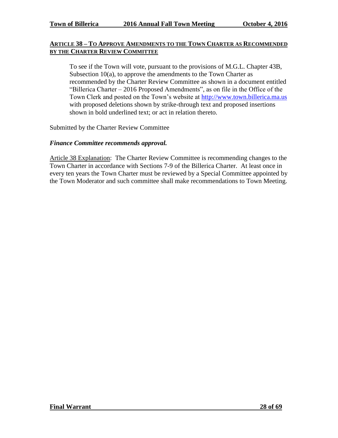#### **ARTICLE 38 – TO APPROVE AMENDMENTS TO THE TOWN CHARTER AS RECOMMENDED BY THE CHARTER REVIEW COMMITTEE**

To see if the Town will vote, pursuant to the provisions of M.G.L. Chapter 43B, Subsection 10(a), to approve the amendments to the Town Charter as recommended by the Charter Review Committee as shown in a document entitled "Billerica Charter – 2016 Proposed Amendments", as on file in the Office of the Town Clerk and posted on the Town's website at [http://www.town.billerica.ma.us](http://www.town.billerica.ma.us/) with proposed deletions shown by strike-through text and proposed insertions shown in bold underlined text; or act in relation thereto.

Submitted by the Charter Review Committee

# *Finance Committee recommends approval.*

Article 38 Explanation: The Charter Review Committee is recommending changes to the Town Charter in accordance with Sections 7-9 of the Billerica Charter. At least once in every ten years the Town Charter must be reviewed by a Special Committee appointed by the Town Moderator and such committee shall make recommendations to Town Meeting.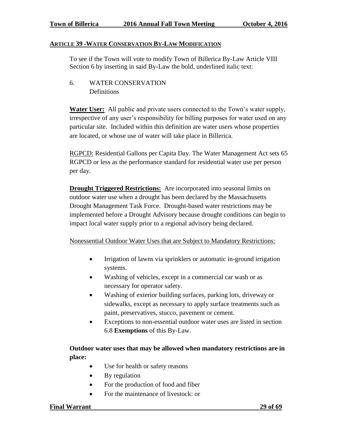#### **ARTICLE 39 -WATER CONSERVATION BY-LAW MODIFICATION**

To see if the Town will vote to modify Town of Billerica By-Law Article VIII Section 6 by inserting in said By-Law the bold, underlined italic text:

6. WATER CONSERVATION **Definitions** 

**Water User:** All public and private users connected to the Town's water supply, irrespective of any user's responsibility for billing purposes for water used on any particular site. Included within this definition are water users whose properties are located, or whose use of water will take place in Billerica.

RGPCD: Residential Gallons per Capita Day. The Water Management Act sets 65 RGPCD or less as the performance standard for residential water use per person per day.

**Drought Triggered Restrictions:** Are incorporated into seasonal limits on outdoor water use when a drought has been declared by the Massachusetts Drought Management Task Force. Drought-based water restrictions may be implemented before a Drought Advisory because drought conditions can begin to impact local water supply prior to a regional advisory being declared.

Nonessential Outdoor Water Uses that are Subject to Mandatory Restrictions:

- Irrigation of lawns via sprinklers or automatic in-ground irrigation systems.
- Washing of vehicles, except in a commercial car wash or as necessary for operator safety.
- Washing of exterior building surfaces, parking lots, driveway or sidewalks, except as necessary to apply surface treatments such as paint, preservatives, stucco, pavement or cement.
- Exceptions to non-essential outdoor water uses are listed in section 6.8 **Exemptions** of this By-Law.

# **Outdoor water uses that may be allowed when mandatory restrictions are in place:**

- Use for health or safety reasons
- By regulation
- For the production of food and fiber
- For the maintenance of livestock: or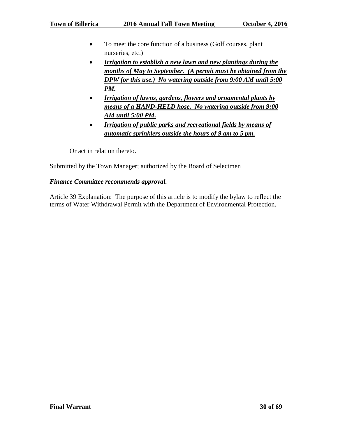- To meet the core function of a business (Golf courses, plant nurseries, etc.)
- *Irrigation to establish a new lawn and new plantings during the months of May to September. (A permit must be obtained from the DPW for this use.) No watering outside from 9:00 AM until 5:00 PM.*
- *Irrigation of lawns, gardens, flowers and ornamental plants by means of a HAND-HELD hose. No watering outside from 9:00 AM until 5:00 PM.*
- *Irrigation of public parks and recreational fields by means of automatic sprinklers outside the hours of 9 am to 5 pm.*

Or act in relation thereto.

Submitted by the Town Manager; authorized by the Board of Selectmen

# *Finance Committee recommends approval.*

Article 39 Explanation: The purpose of this article is to modify the bylaw to reflect the terms of Water Withdrawal Permit with the Department of Environmental Protection.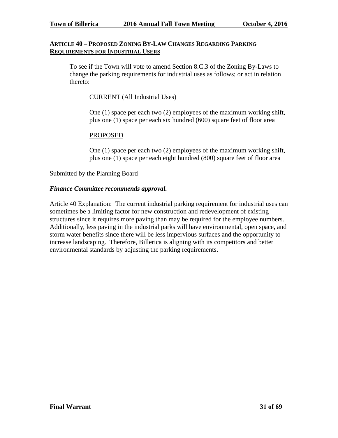#### **ARTICLE 40 – PROPOSED ZONING BY-LAW CHANGES REGARDING PARKING REQUIREMENTS FOR INDUSTRIAL USERS**

To see if the Town will vote to amend Section 8.C.3 of the Zoning By-Laws to change the parking requirements for industrial uses as follows; or act in relation thereto:

#### CURRENT (All Industrial Uses)

One (1) space per each two (2) employees of the maximum working shift, plus one (1) space per each six hundred (600) square feet of floor area

#### PROPOSED

One (1) space per each two (2) employees of the maximum working shift, plus one (1) space per each eight hundred (800) square feet of floor area

#### Submitted by the Planning Board

#### *Finance Committee recommends approval.*

Article 40 Explanation: The current industrial parking requirement for industrial uses can sometimes be a limiting factor for new construction and redevelopment of existing structures since it requires more paving than may be required for the employee numbers. Additionally, less paving in the industrial parks will have environmental, open space, and storm water benefits since there will be less impervious surfaces and the opportunity to increase landscaping. Therefore, Billerica is aligning with its competitors and better environmental standards by adjusting the parking requirements.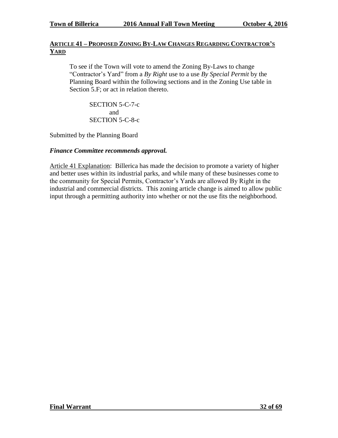# **ARTICLE 41 – PROPOSED ZONING BY-LAW CHANGES REGARDING CONTRACTOR'S YARD**

To see if the Town will vote to amend the Zoning By-Laws to change "Contractor's Yard" from a *By Right* use to a use *By Special Permit* by the Planning Board within the following sections and in the Zoning Use table in Section 5.F; or act in relation thereto.

SECTION 5-C-7-c and SECTION 5-C-8-c

Submitted by the Planning Board

#### *Finance Committee recommends approval.*

Article 41 Explanation: Billerica has made the decision to promote a variety of higher and better uses within its industrial parks, and while many of these businesses come to the community for Special Permits, Contractor's Yards are allowed By Right in the industrial and commercial districts. This zoning article change is aimed to allow public input through a permitting authority into whether or not the use fits the neighborhood.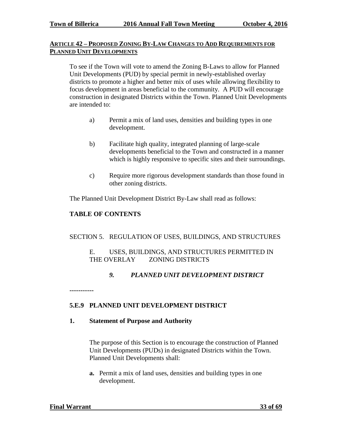#### **ARTICLE 42 – PROPOSED ZONING BY-LAW CHANGES TO ADD REQUIREMENTS FOR PLANNED UNIT DEVELOPMENTS**

To see if the Town will vote to amend the Zoning B-Laws to allow for Planned Unit Developments (PUD) by special permit in newly-established overlay districts to promote a higher and better mix of uses while allowing flexibility to focus development in areas beneficial to the community. A PUD will encourage construction in designated Districts within the Town. Planned Unit Developments are intended to:

- a) Permit a mix of land uses, densities and building types in one development.
- b) Facilitate high quality, integrated planning of large-scale developments beneficial to the Town and constructed in a manner which is highly responsive to specific sites and their surroundings.
- c) Require more rigorous development standards than those found in other zoning districts.

The Planned Unit Development District By-Law shall read as follows:

# **TABLE OF CONTENTS**

# SECTION 5. REGULATION OF USES, BUILDINGS, AND STRUCTURES

#### E. USES, BUILDINGS, AND STRUCTURES PERMITTED IN THE OVERLAY ZONING DISTRICTS

# *9. PLANNED UNIT DEVELOPMENT DISTRICT*

**-----------**

# **5.E.9 PLANNED UNIT DEVELOPMENT DISTRICT**

# **1. Statement of Purpose and Authority**

The purpose of this Section is to encourage the construction of Planned Unit Developments (PUDs) in designated Districts within the Town. Planned Unit Developments shall:

**a.** Permit a mix of land uses, densities and building types in one development.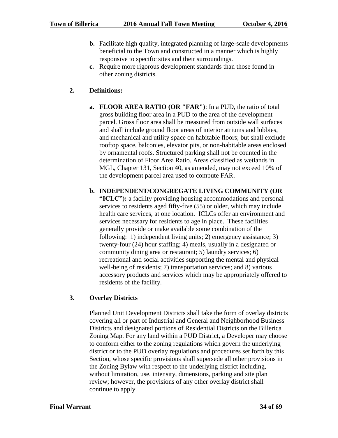- **b.** Facilitate high quality, integrated planning of large-scale developments beneficial to the Town and constructed in a manner which is highly responsive to specific sites and their surroundings.
- **c.** Require more rigorous development standards than those found in other zoning districts.

# **2. Definitions:**

- **a. FLOOR AREA RATIO (OR "FAR")**: In a PUD, the ratio of total gross building floor area in a PUD to the area of the development parcel. Gross floor area shall be measured from outside wall surfaces and shall include ground floor areas of interior atriums and lobbies, and mechanical and utility space on habitable floors; but shall exclude rooftop space, balconies, elevator pits, or non-habitable areas enclosed by ornamental roofs. Structured parking shall not be counted in the determination of Floor Area Ratio. Areas classified as wetlands in MGL, Chapter 131, Section 40, as amended, may not exceed 10% of the development parcel area used to compute FAR.
- **b. INDEPENDENT/CONGREGATE LIVING COMMUNITY (OR**

**"ICLC"):** a facility providing housing accommodations and personal services to residents aged fifty-five (55) or older, which may include health care services, at one location. ICLCs offer an environment and services necessary for residents to age in place. These facilities generally provide or make available some combination of the following: 1) independent living units; 2) emergency assistance; 3) twenty-four (24) hour staffing; 4) meals, usually in a designated or community dining area or restaurant; 5) laundry services; 6) recreational and social activities supporting the mental and physical well-being of residents; 7) transportation services; and 8) various accessory products and services which may be appropriately offered to residents of the facility.

# **3. Overlay Districts**

Planned Unit Development Districts shall take the form of overlay districts covering all or part of Industrial and General and Neighborhood Business Districts and designated portions of Residential Districts on the Billerica Zoning Map. For any land within a PUD District, a Developer may choose to conform either to the zoning regulations which govern the underlying district or to the PUD overlay regulations and procedures set forth by this Section, whose specific provisions shall supersede all other provisions in the Zoning Bylaw with respect to the underlying district including, without limitation, use, intensity, dimensions, parking and site plan review; however, the provisions of any other overlay district shall continue to apply.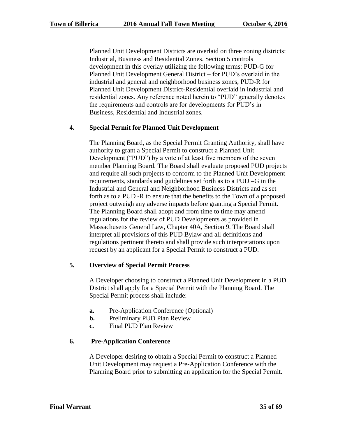Planned Unit Development Districts are overlaid on three zoning districts: Industrial, Business and Residential Zones. Section 5 controls development in this overlay utilizing the following terms: PUD-G for Planned Unit Development General District – for PUD's overlaid in the industrial and general and neighborhood business zones, PUD-R for Planned Unit Development District-Residential overlaid in industrial and residential zones. Any reference noted herein to "PUD" generally denotes the requirements and controls are for developments for PUD's in Business, Residential and Industrial zones.

# **4. Special Permit for Planned Unit Development**

The Planning Board, as the Special Permit Granting Authority, shall have authority to grant a Special Permit to construct a Planned Unit Development ("PUD") by a vote of at least five members of the seven member Planning Board. The Board shall evaluate proposed PUD projects and require all such projects to conform to the Planned Unit Development requirements, standards and guidelines set forth as to a PUD –G in the Industrial and General and Neighborhood Business Districts and as set forth as to a PUD -R to ensure that the benefits to the Town of a proposed project outweigh any adverse impacts before granting a Special Permit. The Planning Board shall adopt and from time to time may amend regulations for the review of PUD Developments as provided in Massachusetts General Law, Chapter 40A, Section 9. The Board shall interpret all provisions of this PUD Bylaw and all definitions and regulations pertinent thereto and shall provide such interpretations upon request by an applicant for a Special Permit to construct a PUD.

# **5. Overview of Special Permit Process**

A Developer choosing to construct a Planned Unit Development in a PUD District shall apply for a Special Permit with the Planning Board. The Special Permit process shall include:

- **a.** Pre-Application Conference (Optional)
- **b.** Preliminary PUD Plan Review
- **c.** Final PUD Plan Review

# **6. Pre-Application Conference**

A Developer desiring to obtain a Special Permit to construct a Planned Unit Development may request a Pre-Application Conference with the Planning Board prior to submitting an application for the Special Permit.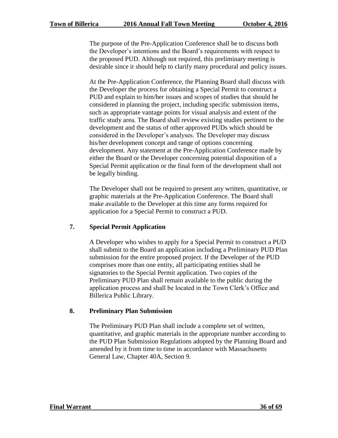The purpose of the Pre-Application Conference shall be to discuss both the Developer's intentions and the Board's requirements with respect to the proposed PUD. Although not required, this preliminary meeting is desirable since it should help to clarify many procedural and policy issues.

At the Pre-Application Conference, the Planning Board shall discuss with the Developer the process for obtaining a Special Permit to construct a PUD and explain to him/her issues and scopes of studies that should be considered in planning the project, including specific submission items, such as appropriate vantage points for visual analysis and extent of the traffic study area. The Board shall review existing studies pertinent to the development and the status of other approved PUDs which should be considered in the Developer's analyses. The Developer may discuss his/her development concept and range of options concerning development. Any statement at the Pre-Application Conference made by either the Board or the Developer concerning potential disposition of a Special Permit application or the final form of the development shall not be legally binding.

The Developer shall not be required to present any written, quantitative, or graphic materials at the Pre-Application Conference. The Board shall make available to the Developer at this time any forms required for application for a Special Permit to construct a PUD.

# **7. Special Permit Application**

A Developer who wishes to apply for a Special Permit to construct a PUD shall submit to the Board an application including a Preliminary PUD Plan submission for the entire proposed project. If the Developer of the PUD comprises more than one entity, all participating entities shall be signatories to the Special Permit application. Two copies of the Preliminary PUD Plan shall remain available to the public during the application process and shall be located in the Town Clerk's Office and Billerica Public Library.

# **8. Preliminary Plan Submission**

The Preliminary PUD Plan shall include a complete set of written, quantitative, and graphic materials in the appropriate number according to the PUD Plan Submission Regulations adopted by the Planning Board and amended by it from time to time in accordance with Massachusetts General Law, Chapter 40A, Section 9.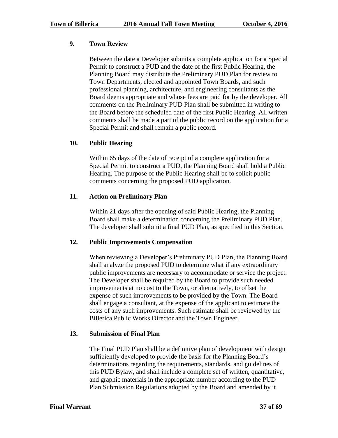# **9. Town Review**

Between the date a Developer submits a complete application for a Special Permit to construct a PUD and the date of the first Public Hearing, the Planning Board may distribute the Preliminary PUD Plan for review to Town Departments, elected and appointed Town Boards, and such professional planning, architecture, and engineering consultants as the Board deems appropriate and whose fees are paid for by the developer. All comments on the Preliminary PUD Plan shall be submitted in writing to the Board before the scheduled date of the first Public Hearing. All written comments shall be made a part of the public record on the application for a Special Permit and shall remain a public record.

# **10. Public Hearing**

Within 65 days of the date of receipt of a complete application for a Special Permit to construct a PUD, the Planning Board shall hold a Public Hearing. The purpose of the Public Hearing shall be to solicit public comments concerning the proposed PUD application.

# **11. Action on Preliminary Plan**

Within 21 days after the opening of said Public Hearing, the Planning Board shall make a determination concerning the Preliminary PUD Plan. The developer shall submit a final PUD Plan, as specified in this Section.

# **12. Public Improvements Compensation**

When reviewing a Developer's Preliminary PUD Plan, the Planning Board shall analyze the proposed PUD to determine what if any extraordinary public improvements are necessary to accommodate or service the project. The Developer shall be required by the Board to provide such needed improvements at no cost to the Town, or alternatively, to offset the expense of such improvements to be provided by the Town. The Board shall engage a consultant, at the expense of the applicant to estimate the costs of any such improvements. Such estimate shall be reviewed by the Billerica Public Works Director and the Town Engineer.

# **13. Submission of Final Plan**

The Final PUD Plan shall be a definitive plan of development with design sufficiently developed to provide the basis for the Planning Board's determinations regarding the requirements, standards, and guidelines of this PUD Bylaw, and shall include a complete set of written, quantitative, and graphic materials in the appropriate number according to the PUD Plan Submission Regulations adopted by the Board and amended by it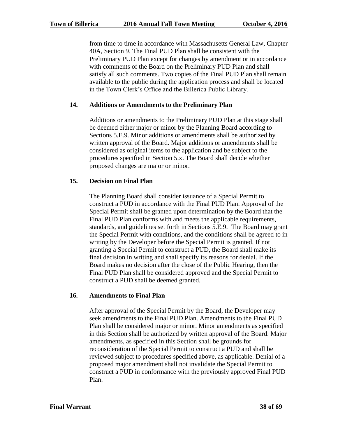from time to time in accordance with Massachusetts General Law, Chapter 40A, Section 9. The Final PUD Plan shall be consistent with the Preliminary PUD Plan except for changes by amendment or in accordance with comments of the Board on the Preliminary PUD Plan and shall satisfy all such comments. Two copies of the Final PUD Plan shall remain available to the public during the application process and shall be located in the Town Clerk's Office and the Billerica Public Library.

#### **14. Additions or Amendments to the Preliminary Plan**

Additions or amendments to the Preliminary PUD Plan at this stage shall be deemed either major or minor by the Planning Board according to Sections 5.E.9. Minor additions or amendments shall be authorized by written approval of the Board. Major additions or amendments shall be considered as original items to the application and be subject to the procedures specified in Section 5.x. The Board shall decide whether proposed changes are major or minor.

#### **15. Decision on Final Plan**

The Planning Board shall consider issuance of a Special Permit to construct a PUD in accordance with the Final PUD Plan. Approval of the Special Permit shall be granted upon determination by the Board that the Final PUD Plan conforms with and meets the applicable requirements, standards, and guidelines set forth in Sections 5.E.9. The Board may grant the Special Permit with conditions, and the conditions shall be agreed to in writing by the Developer before the Special Permit is granted. If not granting a Special Permit to construct a PUD, the Board shall make its final decision in writing and shall specify its reasons for denial. If the Board makes no decision after the close of the Public Hearing, then the Final PUD Plan shall be considered approved and the Special Permit to construct a PUD shall be deemed granted.

#### **16. Amendments to Final Plan**

After approval of the Special Permit by the Board, the Developer may seek amendments to the Final PUD Plan. Amendments to the Final PUD Plan shall be considered major or minor. Minor amendments as specified in this Section shall be authorized by written approval of the Board. Major amendments, as specified in this Section shall be grounds for reconsideration of the Special Permit to construct a PUD and shall be reviewed subject to procedures specified above, as applicable. Denial of a proposed major amendment shall not invalidate the Special Permit to construct a PUD in conformance with the previously approved Final PUD Plan.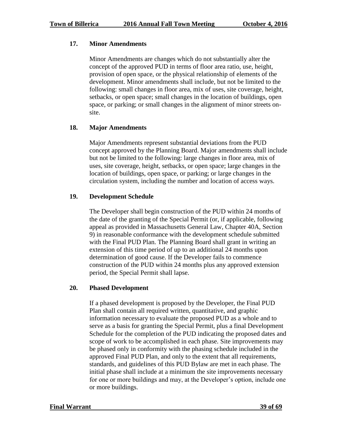#### **17. Minor Amendments**

Minor Amendments are changes which do not substantially alter the concept of the approved PUD in terms of floor area ratio, use, height, provision of open space, or the physical relationship of elements of the development. Minor amendments shall include, but not be limited to the following: small changes in floor area, mix of uses, site coverage, height, setbacks, or open space; small changes in the location of buildings, open space, or parking; or small changes in the alignment of minor streets onsite.

# **18. Major Amendments**

Major Amendments represent substantial deviations from the PUD concept approved by the Planning Board. Major amendments shall include but not be limited to the following: large changes in floor area, mix of uses, site coverage, height, setbacks, or open space; large changes in the location of buildings, open space, or parking; or large changes in the circulation system, including the number and location of access ways.

#### **19. Development Schedule**

The Developer shall begin construction of the PUD within 24 months of the date of the granting of the Special Permit (or, if applicable, following appeal as provided in Massachusetts General Law, Chapter 40A, Section 9) in reasonable conformance with the development schedule submitted with the Final PUD Plan. The Planning Board shall grant in writing an extension of this time period of up to an additional 24 months upon determination of good cause. If the Developer fails to commence construction of the PUD within 24 months plus any approved extension period, the Special Permit shall lapse.

#### **20. Phased Development**

If a phased development is proposed by the Developer, the Final PUD Plan shall contain all required written, quantitative, and graphic information necessary to evaluate the proposed PUD as a whole and to serve as a basis for granting the Special Permit, plus a final Development Schedule for the completion of the PUD indicating the proposed dates and scope of work to be accomplished in each phase. Site improvements may be phased only in conformity with the phasing schedule included in the approved Final PUD Plan, and only to the extent that all requirements, standards, and guidelines of this PUD Bylaw are met in each phase. The initial phase shall include at a minimum the site improvements necessary for one or more buildings and may, at the Developer's option, include one or more buildings.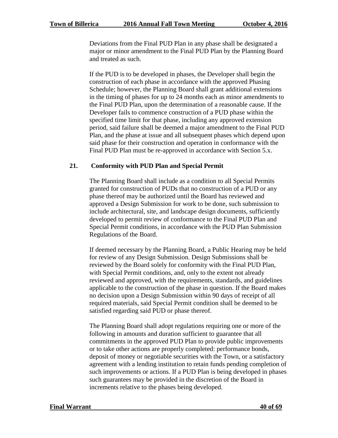Deviations from the Final PUD Plan in any phase shall be designated a major or minor amendment to the Final PUD Plan by the Planning Board and treated as such.

If the PUD is to be developed in phases, the Developer shall begin the construction of each phase in accordance with the approved Phasing Schedule; however, the Planning Board shall grant additional extensions in the timing of phases for up to 24 months each as minor amendments to the Final PUD Plan, upon the determination of a reasonable cause. If the Developer fails to commence construction of a PUD phase within the specified time limit for that phase, including any approved extension period, said failure shall be deemed a major amendment to the Final PUD Plan, and the phase at issue and all subsequent phases which depend upon said phase for their construction and operation in conformance with the Final PUD Plan must be re-approved in accordance with Section 5.x.

# **21. Conformity with PUD Plan and Special Permit**

The Planning Board shall include as a condition to all Special Permits granted for construction of PUDs that no construction of a PUD or any phase thereof may be authorized until the Board has reviewed and approved a Design Submission for work to be done, such submission to include architectural, site, and landscape design documents, sufficiently developed to permit review of conformance to the Final PUD Plan and Special Permit conditions, in accordance with the PUD Plan Submission Regulations of the Board.

If deemed necessary by the Planning Board, a Public Hearing may be held for review of any Design Submission. Design Submissions shall be reviewed by the Board solely for conformity with the Final PUD Plan, with Special Permit conditions, and, only to the extent not already reviewed and approved, with the requirements, standards, and guidelines applicable to the construction of the phase in question. If the Board makes no decision upon a Design Submission within 90 days of receipt of all required materials, said Special Permit condition shall be deemed to be satisfied regarding said PUD or phase thereof.

The Planning Board shall adopt regulations requiring one or more of the following in amounts and duration sufficient to guarantee that all commitments in the approved PUD Plan to provide public improvements or to take other actions are properly completed: performance bonds, deposit of money or negotiable securities with the Town, or a satisfactory agreement with a lending institution to retain funds pending completion of such improvements or actions. If a PUD Plan is being developed in phases such guarantees may be provided in the discretion of the Board in increments relative to the phases being developed.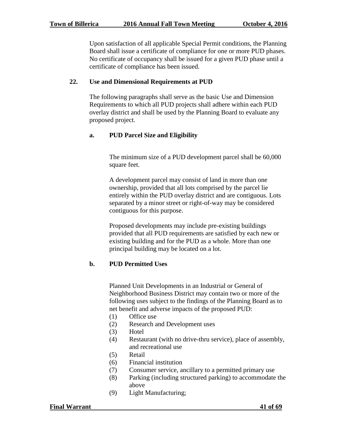Upon satisfaction of all applicable Special Permit conditions, the Planning Board shall issue a certificate of compliance for one or more PUD phases. No certificate of occupancy shall be issued for a given PUD phase until a certificate of compliance has been issued.

#### **22. Use and Dimensional Requirements at PUD**

The following paragraphs shall serve as the basic Use and Dimension Requirements to which all PUD projects shall adhere within each PUD overlay district and shall be used by the Planning Board to evaluate any proposed project.

#### **a. PUD Parcel Size and Eligibility**

The minimum size of a PUD development parcel shall be 60,000 square feet.

A development parcel may consist of land in more than one ownership, provided that all lots comprised by the parcel lie entirely within the PUD overlay district and are contiguous. Lots separated by a minor street or right-of-way may be considered contiguous for this purpose.

Proposed developments may include pre-existing buildings provided that all PUD requirements are satisfied by each new or existing building and for the PUD as a whole. More than one principal building may be located on a lot.

# **b. PUD Permitted Uses**

Planned Unit Developments in an Industrial or General of Neighborhood Business District may contain two or more of the following uses subject to the findings of the Planning Board as to net benefit and adverse impacts of the proposed PUD:

- (1) Office use
- (2) Research and Development uses
- (3) Hotel
- (4) Restaurant (with no drive-thru service), place of assembly, and recreational use
- (5) Retail
- (6) Financial institution
- (7) Consumer service, ancillary to a permitted primary use
- (8) Parking (including structured parking) to accommodate the above
- (9) Light Manufacturing;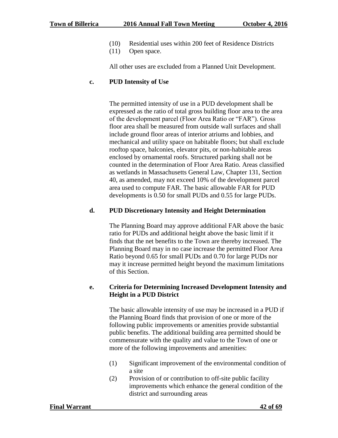- (10) Residential uses within 200 feet of Residence Districts
- (11) Open space.

All other uses are excluded from a Planned Unit Development.

# **c. PUD Intensity of Use**

The permitted intensity of use in a PUD development shall be expressed as the ratio of total gross building floor area to the area of the development parcel (Floor Area Ratio or "FAR"). Gross floor area shall be measured from outside wall surfaces and shall include ground floor areas of interior atriums and lobbies, and mechanical and utility space on habitable floors; but shall exclude rooftop space, balconies, elevator pits, or non-habitable areas enclosed by ornamental roofs. Structured parking shall not be counted in the determination of Floor Area Ratio. Areas classified as wetlands in Massachusetts General Law, Chapter 131, Section 40, as amended, may not exceed 10% of the development parcel area used to compute FAR. The basic allowable FAR for PUD developments is 0.50 for small PUDs and 0.55 for large PUDs.

# **d. PUD Discretionary Intensity and Height Determination**

The Planning Board may approve additional FAR above the basic ratio for PUDs and additional height above the basic limit if it finds that the net benefits to the Town are thereby increased. The Planning Board may in no case increase the permitted Floor Area Ratio beyond 0.65 for small PUDs and 0.70 for large PUDs nor may it increase permitted height beyond the maximum limitations of this Section.

# **e. Criteria for Determining Increased Development Intensity and Height in a PUD District**

The basic allowable intensity of use may be increased in a PUD if the Planning Board finds that provision of one or more of the following public improvements or amenities provide substantial public benefits. The additional building area permitted should be commensurate with the quality and value to the Town of one or more of the following improvements and amenities:

- (1) Significant improvement of the environmental condition of a site
- (2) Provision of or contribution to off-site public facility improvements which enhance the general condition of the district and surrounding areas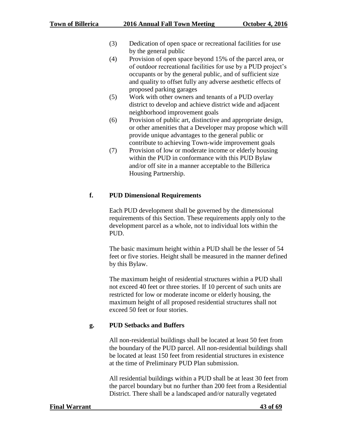- (3) Dedication of open space or recreational facilities for use by the general public
- (4) Provision of open space beyond 15% of the parcel area, or of outdoor recreational facilities for use by a PUD project's occupants or by the general public, and of sufficient size and quality to offset fully any adverse aesthetic effects of proposed parking garages
- (5) Work with other owners and tenants of a PUD overlay district to develop and achieve district wide and adjacent neighborhood improvement goals
- (6) Provision of public art, distinctive and appropriate design, or other amenities that a Developer may propose which will provide unique advantages to the general public or contribute to achieving Town-wide improvement goals
- (7) Provision of low or moderate income or elderly housing within the PUD in conformance with this PUD Bylaw and/or off site in a manner acceptable to the Billerica Housing Partnership.

# **f. PUD Dimensional Requirements**

Each PUD development shall be governed by the dimensional requirements of this Section. These requirements apply only to the development parcel as a whole, not to individual lots within the PUD.

The basic maximum height within a PUD shall be the lesser of 54 feet or five stories. Height shall be measured in the manner defined by this Bylaw.

The maximum height of residential structures within a PUD shall not exceed 40 feet or three stories. If 10 percent of such units are restricted for low or moderate income or elderly housing, the maximum height of all proposed residential structures shall not exceed 50 feet or four stories.

# **g. PUD Setbacks and Buffers**

All non-residential buildings shall be located at least 50 feet from the boundary of the PUD parcel. All non-residential buildings shall be located at least 150 feet from residential structures in existence at the time of Preliminary PUD Plan submission.

All residential buildings within a PUD shall be at least 30 feet from the parcel boundary but no further than 200 feet from a Residential District. There shall be a landscaped and/or naturally vegetated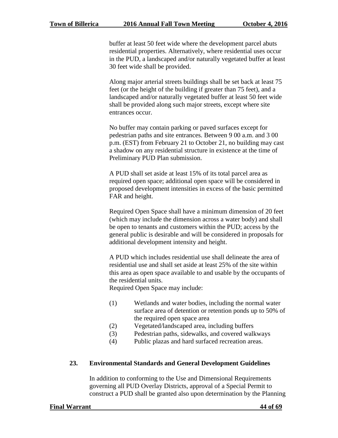buffer at least 50 feet wide where the development parcel abuts residential properties. Alternatively, where residential uses occur in the PUD, a landscaped and/or naturally vegetated buffer at least 30 feet wide shall be provided.

Along major arterial streets buildings shall be set back at least 75 feet (or the height of the building if greater than 75 feet), and a landscaped and/or naturally vegetated buffer at least 50 feet wide shall be provided along such major streets, except where site entrances occur.

No buffer may contain parking or paved surfaces except for pedestrian paths and site entrances. Between 9 00 a.m. and 3 00 p.m. (EST) from February 21 to October 21, no building may cast a shadow on any residential structure in existence at the time of Preliminary PUD Plan submission.

A PUD shall set aside at least 15% of its total parcel area as required open space; additional open space will be considered in proposed development intensities in excess of the basic permitted FAR and height.

Required Open Space shall have a minimum dimension of 20 feet (which may include the dimension across a water body) and shall be open to tenants and customers within the PUD; access by the general public is desirable and will be considered in proposals for additional development intensity and height.

A PUD which includes residential use shall delineate the area of residential use and shall set aside at least 25% of the site within this area as open space available to and usable by the occupants of the residential units.

Required Open Space may include:

- (1) Wetlands and water bodies, including the normal water surface area of detention or retention ponds up to 50% of the required open space area
- (2) Vegetated/landscaped area, including buffers
- (3) Pedestrian paths, sidewalks, and covered walkways
- (4) Public plazas and hard surfaced recreation areas.

#### **23. Environmental Standards and General Development Guidelines**

In addition to conforming to the Use and Dimensional Requirements governing all PUD Overlay Districts, approval of a Special Permit to construct a PUD shall be granted also upon determination by the Planning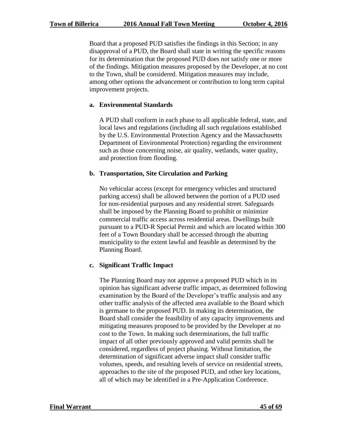Board that a proposed PUD satisfies the findings in this Section; in any disapproval of a PUD, the Board shall state in writing the specific reasons for its determination that the proposed PUD does not satisfy one or more of the findings. Mitigation measures proposed by the Developer, at no cost to the Town, shall be considered. Mitigation measures may include, among other options the advancement or contribution to long term capital improvement projects.

# **a. Environmental Standards**

A PUD shall conform in each phase to all applicable federal, state, and local laws and regulations (including all such regulations established by the U.S. Environmental Protection Agency and the Massachusetts Department of Environmental Protection) regarding the environment such as those concerning noise, air quality, wetlands, water quality, and protection from flooding.

# **b. Transportation, Site Circulation and Parking**

No vehicular access (except for emergency vehicles and structured parking access) shall be allowed between the portion of a PUD used for non-residential purposes and any residential street. Safeguards shall be imposed by the Planning Board to prohibit or minimize commercial traffic access across residential areas. Dwellings built pursuant to a PUD-R Special Permit and which are located within 300 feet of a Town Boundary shall be accessed through the abutting municipality to the extent lawful and feasible as determined by the Planning Board.

# **c. Significant Traffic Impact**

The Planning Board may not approve a proposed PUD which in its opinion has significant adverse traffic impact, as determined following examination by the Board of the Developer's traffic analysis and any other traffic analysis of the affected area available to the Board which is germane to the proposed PUD. In making its determination, the Board shall consider the feasibility of any capacity improvements and mitigating measures proposed to be provided by the Developer at no cost to the Town. In making such determinations, the full traffic impact of all other previously approved and valid permits shall be considered, regardless of project phasing. Without limitation, the determination of significant adverse impact shall consider traffic volumes, speeds, and resulting levels of service on residential streets, approaches to the site of the proposed PUD, and other key locations, all of which may be identified in a Pre-Application Conference.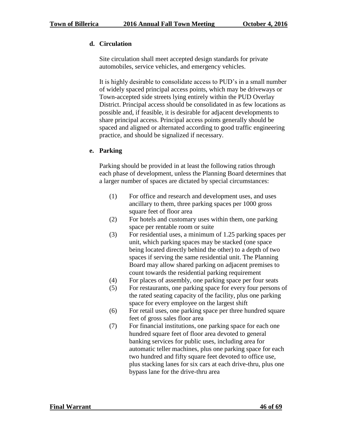# **d. Circulation**

Site circulation shall meet accepted design standards for private automobiles, service vehicles, and emergency vehicles.

It is highly desirable to consolidate access to PUD's in a small number of widely spaced principal access points, which may be driveways or Town-accepted side streets lying entirely within the PUD Overlay District. Principal access should be consolidated in as few locations as possible and, if feasible, it is desirable for adjacent developments to share principal access. Principal access points generally should be spaced and aligned or alternated according to good traffic engineering practice, and should be signalized if necessary.

# **e. Parking**

Parking should be provided in at least the following ratios through each phase of development, unless the Planning Board determines that a larger number of spaces are dictated by special circumstances:

- (1) For office and research and development uses, and uses ancillary to them, three parking spaces per 1000 gross square feet of floor area
- (2) For hotels and customary uses within them, one parking space per rentable room or suite
- (3) For residential uses, a minimum of 1.25 parking spaces per unit, which parking spaces may be stacked (one space being located directly behind the other) to a depth of two spaces if serving the same residential unit. The Planning Board may allow shared parking on adjacent premises to count towards the residential parking requirement
- (4) For places of assembly, one parking space per four seats
- (5) For restaurants, one parking space for every four persons of the rated seating capacity of the facility, plus one parking space for every employee on the largest shift
- (6) For retail uses, one parking space per three hundred square feet of gross sales floor area
- (7) For financial institutions, one parking space for each one hundred square feet of floor area devoted to general banking services for public uses, including area for automatic teller machines, plus one parking space for each two hundred and fifty square feet devoted to office use, plus stacking lanes for six cars at each drive-thru, plus one bypass lane for the drive-thru area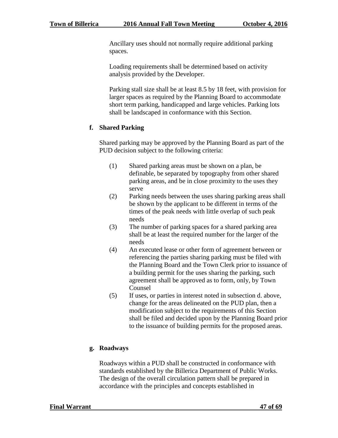Ancillary uses should not normally require additional parking spaces.

Loading requirements shall be determined based on activity analysis provided by the Developer.

Parking stall size shall be at least 8.5 by 18 feet, with provision for larger spaces as required by the Planning Board to accommodate short term parking, handicapped and large vehicles. Parking lots shall be landscaped in conformance with this Section.

# **f. Shared Parking**

Shared parking may be approved by the Planning Board as part of the PUD decision subject to the following criteria:

- (1) Shared parking areas must be shown on a plan, be definable, be separated by topography from other shared parking areas, and be in close proximity to the uses they serve
- (2) Parking needs between the uses sharing parking areas shall be shown by the applicant to be different in terms of the times of the peak needs with little overlap of such peak needs
- (3) The number of parking spaces for a shared parking area shall be at least the required number for the larger of the needs
- (4) An executed lease or other form of agreement between or referencing the parties sharing parking must be filed with the Planning Board and the Town Clerk prior to issuance of a building permit for the uses sharing the parking, such agreement shall be approved as to form, only, by Town Counsel
- (5) If uses, or parties in interest noted in subsection d. above, change for the areas delineated on the PUD plan, then a modification subject to the requirements of this Section shall be filed and decided upon by the Planning Board prior to the issuance of building permits for the proposed areas.

# **g. Roadways**

Roadways within a PUD shall be constructed in conformance with standards established by the Billerica Department of Public Works. The design of the overall circulation pattern shall be prepared in accordance with the principles and concepts established in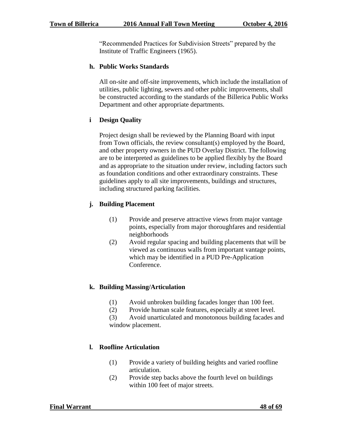"Recommended Practices for Subdivision Streets" prepared by the Institute of Traffic Engineers (1965).

# **h. Public Works Standards**

All on-site and off-site improvements, which include the installation of utilities, public lighting, sewers and other public improvements, shall be constructed according to the standards of the Billerica Public Works Department and other appropriate departments.

# **i Design Quality**

Project design shall be reviewed by the Planning Board with input from Town officials, the review consultant(s) employed by the Board, and other property owners in the PUD Overlay District. The following are to be interpreted as guidelines to be applied flexibly by the Board and as appropriate to the situation under review, including factors such as foundation conditions and other extraordinary constraints. These guidelines apply to all site improvements, buildings and structures, including structured parking facilities.

# **j. Building Placement**

- (1) Provide and preserve attractive views from major vantage points, especially from major thoroughfares and residential neighborhoods
- (2) Avoid regular spacing and building placements that will be viewed as continuous walls from important vantage points, which may be identified in a PUD Pre-Application Conference.

# **k. Building Massing/Articulation**

- (1) Avoid unbroken building facades longer than 100 feet.
- (2) Provide human scale features, especially at street level.

(3) Avoid unarticulated and monotonous building facades and window placement.

# **l. Roofline Articulation**

- (1) Provide a variety of building heights and varied roofline articulation.
- (2) Provide step backs above the fourth level on buildings within 100 feet of major streets.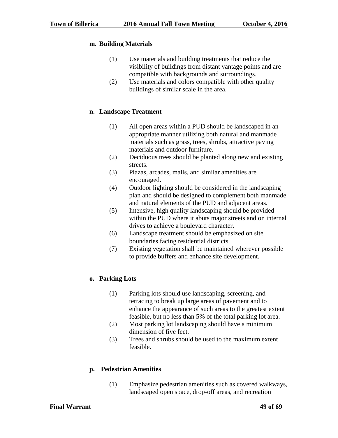# **m. Building Materials**

- (1) Use materials and building treatments that reduce the visibility of buildings from distant vantage points and are compatible with backgrounds and surroundings.
- (2) Use materials and colors compatible with other quality buildings of similar scale in the area.

# **n. Landscape Treatment**

- (1) All open areas within a PUD should be landscaped in an appropriate manner utilizing both natural and manmade materials such as grass, trees, shrubs, attractive paving materials and outdoor furniture.
- (2) Deciduous trees should be planted along new and existing streets.
- (3) Plazas, arcades, malls, and similar amenities are encouraged.
- (4) Outdoor lighting should be considered in the landscaping plan and should be designed to complement both manmade and natural elements of the PUD and adjacent areas.
- (5) Intensive, high quality landscaping should be provided within the PUD where it abuts major streets and on internal drives to achieve a boulevard character.
- (6) Landscape treatment should be emphasized on site boundaries facing residential districts.
- (7) Existing vegetation shall be maintained wherever possible to provide buffers and enhance site development.

# **o. Parking Lots**

- (1) Parking lots should use landscaping, screening, and terracing to break up large areas of pavement and to enhance the appearance of such areas to the greatest extent feasible, but no less than 5% of the total parking lot area.
- (2) Most parking lot landscaping should have a minimum dimension of five feet.
- (3) Trees and shrubs should be used to the maximum extent feasible.

# **p. Pedestrian Amenities**

(1) Emphasize pedestrian amenities such as covered walkways, landscaped open space, drop-off areas, and recreation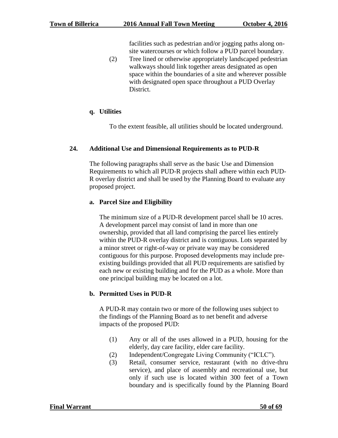facilities such as pedestrian and/or jogging paths along onsite watercourses or which follow a PUD parcel boundary.

(2) Tree lined or otherwise appropriately landscaped pedestrian walkways should link together areas designated as open space within the boundaries of a site and wherever possible with designated open space throughout a PUD Overlay District.

# **q. Utilities**

To the extent feasible, all utilities should be located underground.

# **24. Additional Use and Dimensional Requirements as to PUD-R**

The following paragraphs shall serve as the basic Use and Dimension Requirements to which all PUD-R projects shall adhere within each PUD-R overlay district and shall be used by the Planning Board to evaluate any proposed project.

# **a. Parcel Size and Eligibility**

The minimum size of a PUD-R development parcel shall be 10 acres. A development parcel may consist of land in more than one ownership, provided that all land comprising the parcel lies entirely within the PUD-R overlay district and is contiguous. Lots separated by a minor street or right-of-way or private way may be considered contiguous for this purpose. Proposed developments may include preexisting buildings provided that all PUD requirements are satisfied by each new or existing building and for the PUD as a whole. More than one principal building may be located on a lot.

# **b. Permitted Uses in PUD-R**

A PUD-R may contain two or more of the following uses subject to the findings of the Planning Board as to net benefit and adverse impacts of the proposed PUD:

- (1) Any or all of the uses allowed in a PUD, housing for the elderly, day care facility, elder care facility.
- (2) Independent/Congregate Living Community ("ICLC").
- (3) Retail, consumer service, restaurant (with no drive-thru service), and place of assembly and recreational use, but only if such use is located within 300 feet of a Town boundary and is specifically found by the Planning Board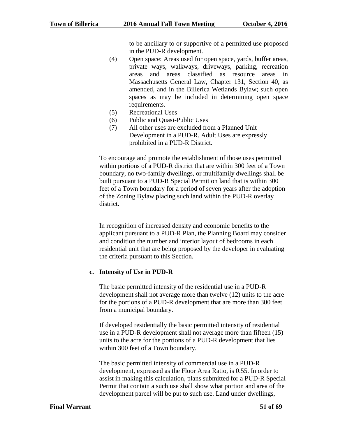to be ancillary to or supportive of a permitted use proposed in the PUD-R development.

- (4) Open space: Areas used for open space, yards, buffer areas, private ways, walkways, driveways, parking, recreation areas and areas classified as resource areas in Massachusetts General Law, Chapter 131, Section 40, as amended, and in the Billerica Wetlands Bylaw; such open spaces as may be included in determining open space requirements.
- (5) Recreational Uses
- (6) Public and Quasi-Public Uses
- (7) All other uses are excluded from a Planned Unit Development in a PUD-R. Adult Uses are expressly prohibited in a PUD-R District.

To encourage and promote the establishment of those uses permitted within portions of a PUD-R district that are within 300 feet of a Town boundary, no two-family dwellings, or multifamily dwellings shall be built pursuant to a PUD-R Special Permit on land that is within 300 feet of a Town boundary for a period of seven years after the adoption of the Zoning Bylaw placing such land within the PUD-R overlay district.

In recognition of increased density and economic benefits to the applicant pursuant to a PUD-R Plan, the Planning Board may consider and condition the number and interior layout of bedrooms in each residential unit that are being proposed by the developer in evaluating the criteria pursuant to this Section.

# **c. Intensity of Use in PUD-R**

The basic permitted intensity of the residential use in a PUD-R development shall not average more than twelve (12) units to the acre for the portions of a PUD-R development that are more than 300 feet from a municipal boundary.

If developed residentially the basic permitted intensity of residential use in a PUD-R development shall not average more than fifteen (15) units to the acre for the portions of a PUD-R development that lies within 300 feet of a Town boundary.

The basic permitted intensity of commercial use in a PUD-R development, expressed as the Floor Area Ratio, is 0.55. In order to assist in making this calculation, plans submitted for a PUD-R Special Permit that contain a such use shall show what portion and area of the development parcel will be put to such use. Land under dwellings,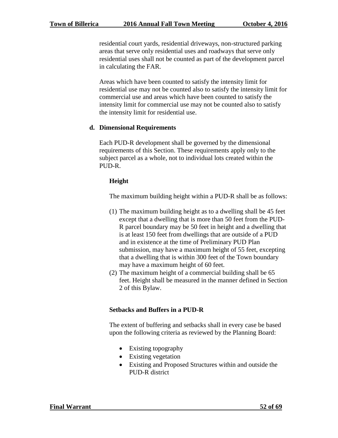residential court yards, residential driveways, non-structured parking areas that serve only residential uses and roadways that serve only residential uses shall not be counted as part of the development parcel in calculating the FAR.

Areas which have been counted to satisfy the intensity limit for residential use may not be counted also to satisfy the intensity limit for commercial use and areas which have been counted to satisfy the intensity limit for commercial use may not be counted also to satisfy the intensity limit for residential use.

#### **d. Dimensional Requirements**

Each PUD-R development shall be governed by the dimensional requirements of this Section. These requirements apply only to the subject parcel as a whole, not to individual lots created within the PUD-R.

#### **Height**

The maximum building height within a PUD-R shall be as follows:

- (1) The maximum building height as to a dwelling shall be 45 feet except that a dwelling that is more than 50 feet from the PUD-R parcel boundary may be 50 feet in height and a dwelling that is at least 150 feet from dwellings that are outside of a PUD and in existence at the time of Preliminary PUD Plan submission, may have a maximum height of 55 feet, excepting that a dwelling that is within 300 feet of the Town boundary may have a maximum height of 60 feet.
- (2) The maximum height of a commercial building shall be 65 feet. Height shall be measured in the manner defined in Section 2 of this Bylaw.

# **Setbacks and Buffers in a PUD-R**

The extent of buffering and setbacks shall in every case be based upon the following criteria as reviewed by the Planning Board:

- Existing topography
- Existing vegetation
- Existing and Proposed Structures within and outside the PUD-R district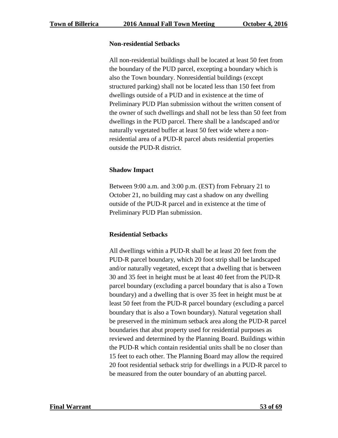#### **Non-residential Setbacks**

All non-residential buildings shall be located at least 50 feet from the boundary of the PUD parcel, excepting a boundary which is also the Town boundary. Nonresidential buildings (except structured parking) shall not be located less than 150 feet from dwellings outside of a PUD and in existence at the time of Preliminary PUD Plan submission without the written consent of the owner of such dwellings and shall not be less than 50 feet from dwellings in the PUD parcel. There shall be a landscaped and/or naturally vegetated buffer at least 50 feet wide where a nonresidential area of a PUD-R parcel abuts residential properties outside the PUD-R district.

# **Shadow Impact**

Between 9:00 a.m. and 3:00 p.m. (EST) from February 21 to October 21, no building may cast a shadow on any dwelling outside of the PUD-R parcel and in existence at the time of Preliminary PUD Plan submission.

# **Residential Setbacks**

All dwellings within a PUD-R shall be at least 20 feet from the PUD-R parcel boundary, which 20 foot strip shall be landscaped and/or naturally vegetated, except that a dwelling that is between 30 and 35 feet in height must be at least 40 feet from the PUD-R parcel boundary (excluding a parcel boundary that is also a Town boundary) and a dwelling that is over 35 feet in height must be at least 50 feet from the PUD-R parcel boundary (excluding a parcel boundary that is also a Town boundary). Natural vegetation shall be preserved in the minimum setback area along the PUD-R parcel boundaries that abut property used for residential purposes as reviewed and determined by the Planning Board. Buildings within the PUD-R which contain residential units shall be no closer than 15 feet to each other. The Planning Board may allow the required 20 foot residential setback strip for dwellings in a PUD-R parcel to be measured from the outer boundary of an abutting parcel.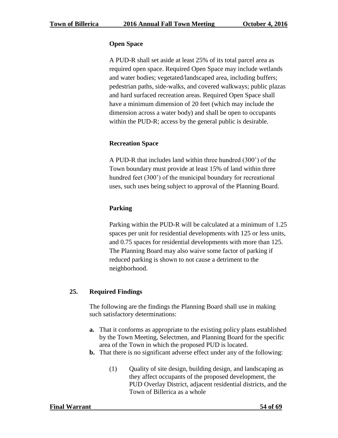#### **Open Space**

A PUD-R shall set aside at least 25% of its total parcel area as required open space. Required Open Space may include wetlands and water bodies; vegetated/landscaped area, including buffers; pedestrian paths, side-walks, and covered walkways; public plazas and hard surfaced recreation areas. Required Open Space shall have a minimum dimension of 20 feet (which may include the dimension across a water body) and shall be open to occupants within the PUD-R; access by the general public is desirable.

# **Recreation Space**

A PUD-R that includes land within three hundred (300') of the Town boundary must provide at least 15% of land within three hundred feet (300<sup>o</sup>) of the municipal boundary for recreational uses, such uses being subject to approval of the Planning Board.

# **Parking**

Parking within the PUD-R will be calculated at a minimum of 1.25 spaces per unit for residential developments with 125 or less units, and 0.75 spaces for residential developments with more than 125. The Planning Board may also waive some factor of parking if reduced parking is shown to not cause a detriment to the neighborhood.

# **25. Required Findings**

The following are the findings the Planning Board shall use in making such satisfactory determinations:

- **a.** That it conforms as appropriate to the existing policy plans established by the Town Meeting, Selectmen, and Planning Board for the specific area of the Town in which the proposed PUD is located.
- **b.** That there is no significant adverse effect under any of the following:
	- (1) Quality of site design, building design, and landscaping as they affect occupants of the proposed development, the PUD Overlay District, adjacent residential districts, and the Town of Billerica as a whole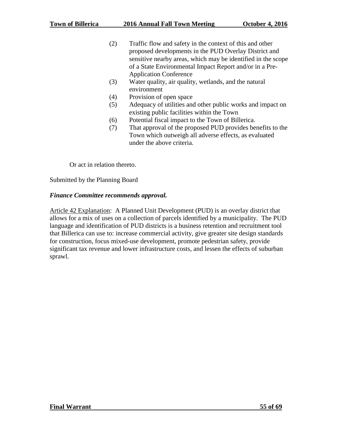- (2) Traffic flow and safety in the context of this and other proposed developments in the PUD Overlay District and sensitive nearby areas, which may be identified in the scope of a State Environmental Impact Report and/or in a Pre-Application Conference
- (3) Water quality, air quality, wetlands, and the natural environment
- (4) Provision of open space
- (5) Adequacy of utilities and other public works and impact on existing public facilities within the Town
- (6) Potential fiscal impact to the Town of Billerica.
- (7) That approval of the proposed PUD provides benefits to the Town which outweigh all adverse effects, as evaluated under the above criteria.

Or act in relation thereto.

Submitted by the Planning Board

#### *Finance Committee recommends approval.*

Article 42 Explanation: A Planned Unit Development (PUD) is an overlay district that allows for a mix of uses on a collection of parcels identified by a municipality. The PUD language and identification of PUD districts is a business retention and recruitment tool that Billerica can use to: increase commercial activity, give greater site design standards for construction, focus mixed-use development, promote pedestrian safety, provide significant tax revenue and lower infrastructure costs, and lessen the effects of suburban sprawl.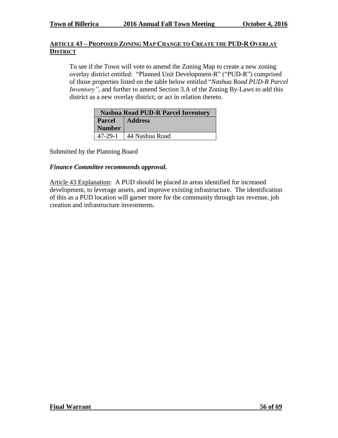# **ARTICLE 43 – PROPOSED ZONING MAP CHANGE TO CREATE THE PUD-R OVERLAY DISTRICT**

To see if the Town will vote to amend the Zoning Map to create a new zoning overlay district entitled: "Planned Unit Development-R" ("PUD-R") comprised of those properties listed on the table below entitled "*Nashua Road PUD-R Parcel Inventory"*, and further to amend Section 3.A of the Zoning By-Laws to add this district as a new overlay district; or act in relation thereto.

| <b>Nashua Road PUD-R Parcel Inventory</b> |                |  |
|-------------------------------------------|----------------|--|
| <b>Parcel</b>                             | Address        |  |
| <b>Number</b>                             |                |  |
| 47-29-1                                   | 44 Nashua Road |  |

Submitted by the Planning Board

#### *Finance Committee recommends approval.*

Article 43 Explanation: A PUD should be placed in areas identified for increased development, to leverage assets, and improve existing infrastructure. The identification of this as a PUD location will garner more for the community through tax revenue, job creation and infrastructure investments.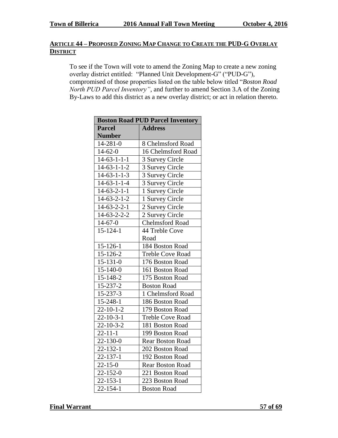# **ARTICLE 44 – PROPOSED ZONING MAP CHANGE TO CREATE THE PUD-G OVERLAY DISTRICT**

To see if the Town will vote to amend the Zoning Map to create a new zoning overlay district entitled: "Planned Unit Development-G" ("PUD-G"), compromised of those properties listed on the table below titled "*Boston Road North PUD Parcel Inventory"*, and further to amend Section 3.A of the Zoning By-Laws to add this district as a new overlay district; or act in relation thereto.

| <b>Boston Road PUD Parcel Inventory</b> |                         |  |
|-----------------------------------------|-------------------------|--|
| <b>Parcel</b>                           | <b>Address</b>          |  |
| <b>Number</b>                           |                         |  |
| $14 - 281 - 0$                          | 8 Chelmsford Road       |  |
| $14 - 62 - 0$                           | 16 Chelmsford Road      |  |
| $14-63-1-1-1$                           | 3 Survey Circle         |  |
| $14 - 63 - 1 - 1 - 2$                   | 3 Survey Circle         |  |
| $14 - 63 - 1 - 1 - 3$                   | 3 Survey Circle         |  |
| $14 - 63 - 1 - 1 - 4$                   | 3 Survey Circle         |  |
| $14-63-2-1-1$                           | 1 Survey Circle         |  |
| $14 - 63 - 2 - 1 - 2$                   | 1 Survey Circle         |  |
| $14-63-2-2-1$                           | 2 Survey Circle         |  |
| $14 - 63 - 2 - 2 - 2$                   | 2 Survey Circle         |  |
| $14 - 67 - 0$                           | <b>Chelmsford Road</b>  |  |
| $15 - 124 - 1$                          | 44 Treble Cove          |  |
|                                         | Road                    |  |
| $15 - 126 - 1$                          | 184 Boston Road         |  |
| 15-126-2                                | <b>Treble Cove Road</b> |  |
| $15 - 131 - 0$                          | 176 Boston Road         |  |
| $15 - 140 - 0$                          | 161 Boston Road         |  |
| 15-148-2                                | 175 Boston Road         |  |
| 15-237-2                                | <b>Boston Road</b>      |  |
| 15-237-3                                | 1 Chelmsford Road       |  |
| 15-248-1                                | 186 Boston Road         |  |
| $22 - 10 - 1 - 2$                       | 179 Boston Road         |  |
| $22 - 10 - 3 - 1$                       | <b>Treble Cove Road</b> |  |
| $22 - 10 - 3 - 2$                       | 181 Boston Road         |  |
| $22 - 11 - 1$                           | 199 Boston Road         |  |
| 22-130-0                                | <b>Rear Boston Road</b> |  |
| 22-132-1                                | 202 Boston Road         |  |
| $22 - 137 - 1$                          | 192 Boston Road         |  |
| $22 - 15 - 0$                           | <b>Rear Boston Road</b> |  |
| $\overline{2}$ 2-152-0                  | 221 Boston Road         |  |
| $\overline{2}$ 2-153-1                  | 223 Boston Road         |  |
| $22 - 154 - 1$                          | <b>Boston Road</b>      |  |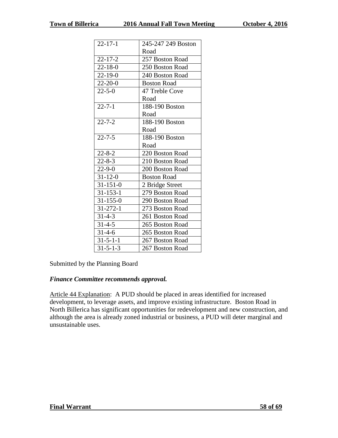| $22 - 17 - 1$    | 245-247 249 Boston |
|------------------|--------------------|
|                  | Road               |
| $22 - 17 - 2$    | 257 Boston Road    |
| $22 - 18 - 0$    | 250 Boston Road    |
| $22 - 19 - 0$    | 240 Boston Road    |
| $22 - 20 - 0$    | <b>Boston Road</b> |
| $22 - 5 - 0$     | 47 Treble Cove     |
|                  | Road               |
| $22 - 7 - 1$     | 188-190 Boston     |
|                  | Road               |
| $22 - 7 - 2$     | 188-190 Boston     |
|                  | Road               |
| $22 - 7 - 5$     | 188-190 Boston     |
|                  | Road               |
| $22 - 8 - 2$     | 220 Boston Road    |
| $22 - 8 - 3$     | 210 Boston Road    |
| $22 - 9 - 0$     | 200 Boston Road    |
| $31 - 12 - 0$    | <b>Boston Road</b> |
| $31 - 151 - 0$   | 2 Bridge Street    |
| $31 - 153 - 1$   | 279 Boston Road    |
| $31 - 155 - 0$   | 290 Boston Road    |
| $31 - 272 - 1$   | 273 Boston Road    |
| $31 - 4 - 3$     | 261 Boston Road    |
| $31 - 4 - 5$     | 265 Boston Road    |
| $31 - 4 - 6$     | 265 Boston Road    |
| $31 - 5 - 1 - 1$ | 267 Boston Road    |
| $31 - 5 - 1 - 3$ | 267 Boston Road    |

# Submitted by the Planning Board

# *Finance Committee recommends approval.*

Article 44 Explanation: A PUD should be placed in areas identified for increased development, to leverage assets, and improve existing infrastructure. Boston Road in North Billerica has significant opportunities for redevelopment and new construction, and although the area is already zoned industrial or business, a PUD will deter marginal and unsustainable uses.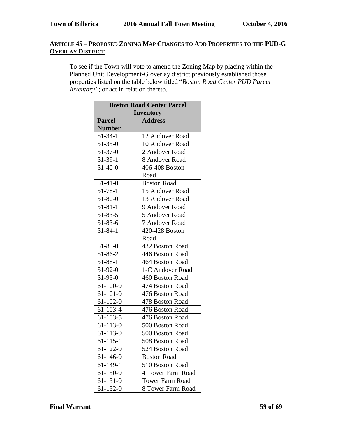# **ARTICLE 45 – PROPOSED ZONING MAP CHANGES TO ADD PROPERTIES TO THE PUD-G OVERLAY DISTRICT**

To see if the Town will vote to amend the Zoning Map by placing within the Planned Unit Development-G overlay district previously established those properties listed on the table below titled "*Boston Road Center PUD Parcel Inventory"*; or act in relation thereto.

| <b>Boston Road Center Parcel</b> |                        |  |
|----------------------------------|------------------------|--|
| <b>Inventory</b>                 |                        |  |
| <b>Parcel</b>                    | <b>Address</b>         |  |
| <b>Number</b>                    |                        |  |
| $51 - 34 - 1$                    | 12 Andover Road        |  |
| $51 - 35 - 0$                    | 10 Andover Road        |  |
| $51-37-0$                        | 2 Andover Road         |  |
| $51-39-1$                        | 8 Andover Road         |  |
| $51-40-0$                        | 406-408 Boston         |  |
|                                  | Road                   |  |
| $51-41-0$                        | <b>Boston Road</b>     |  |
| $51 - 78 - 1$                    | 15 Andover Road        |  |
| $51 - 80 - 0$                    | 13 Andover Road        |  |
| $51 - 81 - 1$                    | 9 Andover Road         |  |
| $51 - 83 - 5$                    | 5 Andover Road         |  |
| $51 - 83 - 6$                    | 7 Andover Road         |  |
| $51 - 84 - 1$                    | 420-428 Boston         |  |
|                                  | Road                   |  |
| $51 - 85 - 0$                    | 432 Boston Road        |  |
| 51-86-2                          | 446 Boston Road        |  |
| $51 - 88 - 1$                    | 464 Boston Road        |  |
| 51-92-0                          | 1-C Andover Road       |  |
| 51-95-0                          | 460 Boston Road        |  |
| $61 - 100 - 0$                   | 474 Boston Road        |  |
| $61 - 101 - 0$                   | 476 Boston Road        |  |
| $61 - 102 - 0$                   | 478 Boston Road        |  |
| $61 - 103 - 4$                   | 476 Boston Road        |  |
| $61 - 103 - 5$                   | 476 Boston Road        |  |
| $61 - 113 - 0$                   | 500 Boston Road        |  |
| $61 - 113 - 0$                   | 500 Boston Road        |  |
| 61-115-1                         | 508 Boston Road        |  |
| $61 - 122 - 0$                   | 524 Boston Road        |  |
| 61-146-0                         | <b>Boston Road</b>     |  |
| $61 - 149 - 1$                   | 510 Boston Road        |  |
| $61 - 150 - 0$                   | 4 Tower Farm Road      |  |
| $61 - 151 - 0$                   | <b>Tower Farm Road</b> |  |
| $61 - 152 - 0$                   | 8 Tower Farm Road      |  |

**Final Warrant 59 of 69**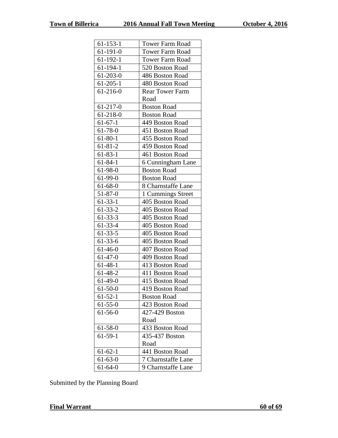| $61 - 153 - 1$ | <b>Tower Farm Road</b> |  |
|----------------|------------------------|--|
| $61 - 191 - 0$ | <b>Tower Farm Road</b> |  |
| 61-192-1       | <b>Tower Farm Road</b> |  |
| $61 - 194 - 1$ | 520 Boston Road        |  |
| $61 - 203 - 0$ | 486 Boston Road        |  |
| $61 - 205 - 1$ | 480 Boston Road        |  |
| $61 - 216 - 0$ | <b>Rear Tower Farm</b> |  |
|                | Road                   |  |
| $61-217-0$     | <b>Boston Road</b>     |  |
| $61 - 218 - 0$ | <b>Boston Road</b>     |  |
| $61-67-1$      | 449 Boston Road        |  |
| $61 - 78 - 0$  | 451 Boston Road        |  |
| $61 - 80 - 1$  | 455 Boston Road        |  |
| $61 - 81 - 2$  | 459 Boston Road        |  |
| $61 - 83 - 1$  | 461 Boston Road        |  |
| $61 - 84 - 1$  | 6 Cunningham Lane      |  |
| 61-98-0        | <b>Boston Road</b>     |  |
| $61-99-0$      | <b>Boston Road</b>     |  |
| $61 - 68 - 0$  | 8 Charnstaffe Lane     |  |
| $51 - 87 - 0$  | 1 Cummings Street      |  |
| $61 - 33 - 1$  | 405 Boston Road        |  |
| $61 - 33 - 2$  | 405 Boston Road        |  |
| $61 - 33 - 3$  | 405 Boston Road        |  |
| $61 - 33 - 4$  | 405 Boston Road        |  |
| $61 - 33 - 5$  | 405 Boston Road        |  |
| $61-33-6$      | 405 Boston Road        |  |
| $61-46-0$      | 407 Boston Road        |  |
| $61-47-0$      | 409 Boston Road        |  |
| $61 - 48 - 1$  | 413 Boston Road        |  |
| $61-48-2$      | 411 Boston Road        |  |
| $61-49-0$      | 415 Boston Road        |  |
| $61 - 50 - 0$  | 419 Boston Road        |  |
| $61 - 52 - 1$  | <b>Boston Road</b>     |  |
| $61 - 55 - 0$  | 423 Boston Road        |  |
| $61 - 56 - 0$  | 427-429 Boston         |  |
|                | Road                   |  |
| 61-58-0        | 433 Boston Road        |  |
| $61-59-1$      | 435-437 Boston         |  |
|                | Road                   |  |
| $61 - 62 - 1$  | 441 Boston Road        |  |
| $61 - 63 - 0$  | 7 Charnstaffe Lane     |  |
| $61 - 64 - 0$  | 9 Charnstaffe Lane     |  |

Submitted by the Planning Board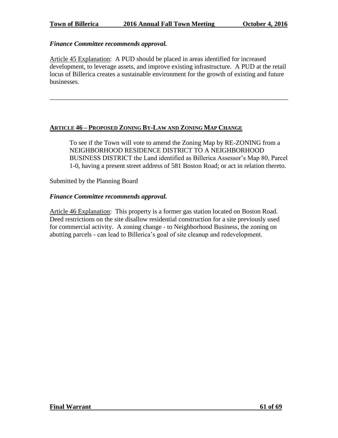#### *Finance Committee recommends approval.*

Article 45 Explanation: A PUD should be placed in areas identified for increased development, to leverage assets, and improve existing infrastructure. A PUD at the retail locus of Billerica creates a sustainable environment for the growth of existing and future businesses.

\_\_\_\_\_\_\_\_\_\_\_\_\_\_\_\_\_\_\_\_\_\_\_\_\_\_\_\_\_\_\_\_\_\_\_\_\_\_\_\_\_\_\_\_\_\_\_\_\_\_\_\_\_\_\_\_\_\_\_\_\_\_\_\_\_\_\_\_\_\_\_\_

#### **ARTICLE 46 – PROPOSED ZONING BY-LAW AND ZONING MAP CHANGE**

To see if the Town will vote to amend the Zoning Map by RE-ZONING from a NEIGHBORHOOD RESIDENCE DISTRICT TO A NEIGHBORHOOD BUSINESS DISTRICT the Land identified as Billerica Assessor's Map 80, Parcel 1-0, having a present street address of 581 Boston Road; or act in relation thereto.

Submitted by the Planning Board

#### *Finance Committee recommends approval.*

Article 46 Explanation: This property is a former gas station located on Boston Road. Deed restrictions on the site disallow residential construction for a site previously used for commercial activity. A zoning change - to Neighborhood Business, the zoning on abutting parcels - can lead to Billerica's goal of site cleanup and redevelopment.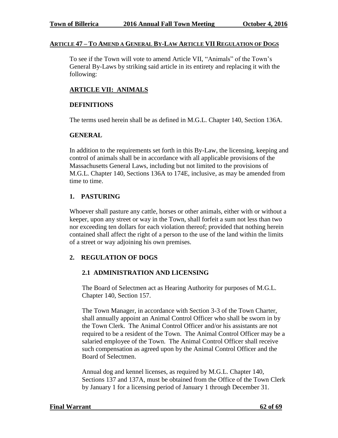#### **ARTICLE 47 – TO AMEND A GENERAL BY-LAW ARTICLE VII REGULATION OF DOGS**

To see if the Town will vote to amend Article VII, "Animals" of the Town's General By-Laws by striking said article in its entirety and replacing it with the following:

#### **ARTICLE VII: ANIMALS**

#### **DEFINITIONS**

The terms used herein shall be as defined in M.G.L. Chapter 140, Section 136A.

#### **GENERAL**

In addition to the requirements set forth in this By-Law, the licensing, keeping and control of animals shall be in accordance with all applicable provisions of the Massachusetts General Laws, including but not limited to the provisions of M.G.L. Chapter 140, Sections 136A to 174E, inclusive, as may be amended from time to time.

#### **1. PASTURING**

Whoever shall pasture any cattle, horses or other animals, either with or without a keeper, upon any street or way in the Town, shall forfeit a sum not less than two nor exceeding ten dollars for each violation thereof; provided that nothing herein contained shall affect the right of a person to the use of the land within the limits of a street or way adjoining his own premises.

# **2. REGULATION OF DOGS**

#### **2.1 ADMINISTRATION AND LICENSING**

The Board of Selectmen act as Hearing Authority for purposes of M.G.L. Chapter 140, Section 157.

The Town Manager, in accordance with Section 3-3 of the Town Charter, shall annually appoint an Animal Control Officer who shall be sworn in by the Town Clerk. The Animal Control Officer and/or his assistants are not required to be a resident of the Town. The Animal Control Officer may be a salaried employee of the Town. The Animal Control Officer shall receive such compensation as agreed upon by the Animal Control Officer and the Board of Selectmen.

Annual dog and kennel licenses, as required by M.G.L. Chapter 140, Sections 137 and 137A, must be obtained from the Office of the Town Clerk by January 1 for a licensing period of January 1 through December 31.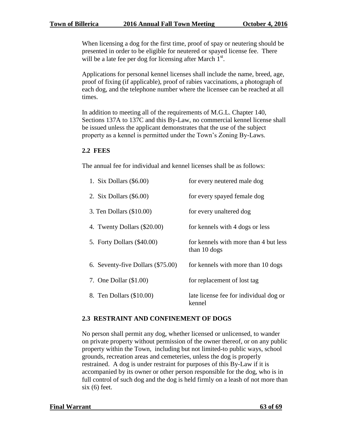When licensing a dog for the first time, proof of spay or neutering should be presented in order to be eligible for neutered or spayed license fee. There will be a late fee per dog for licensing after March  $1<sup>st</sup>$ .

Applications for personal kennel licenses shall include the name, breed, age, proof of fixing (if applicable), proof of rabies vaccinations, a photograph of each dog, and the telephone number where the licensee can be reached at all times.

In addition to meeting all of the requirements of M.G.L. Chapter 140, Sections 137A to 137C and this By-Law, no commercial kennel license shall be issued unless the applicant demonstrates that the use of the subject property as a kennel is permitted under the Town's Zoning By-Laws.

#### **2.2 FEES**

The annual fee for individual and kennel licenses shall be as follows:

| 1. Six Dollars $(\$6.00)$         | for every neutered male dog                           |
|-----------------------------------|-------------------------------------------------------|
| 2. Six Dollars $(\$6.00)$         | for every spayed female dog                           |
| 3. Ten Dollars $(\$10.00)$        | for every unaltered dog                               |
| 4. Twenty Dollars (\$20.00)       | for kennels with 4 dogs or less                       |
| 5. Forty Dollars (\$40.00)        | for kennels with more than 4 but less<br>than 10 dogs |
| 6. Seventy-five Dollars (\$75.00) | for kennels with more than 10 dogs                    |
| 7. One Dollar $(\$1.00)$          | for replacement of lost tag                           |
| 8. Ten Dollars (\$10.00)          | late license fee for individual dog or<br>kennel      |

#### **2.3 RESTRAINT AND CONFINEMENT OF DOGS**

No person shall permit any dog, whether licensed or unlicensed, to wander on private property without permission of the owner thereof, or on any public property within the Town, including but not limited-to public ways, school grounds, recreation areas and cemeteries, unless the dog is properly restrained. A dog is under restraint for purposes of this By-Law if it is accompanied by its owner or other person responsible for the dog, who is in full control of such dog and the dog is held firmly on a leash of not more than  $six(6)$  feet.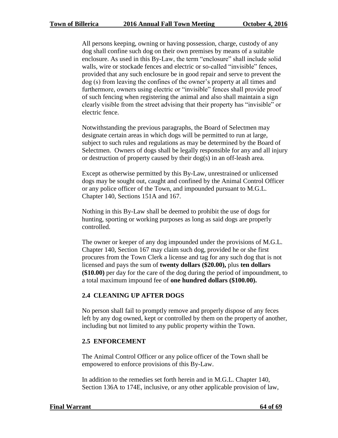All persons keeping, owning or having possession, charge, custody of any dog shall confine such dog on their own premises by means of a suitable enclosure. As used in this By-Law, the term "enclosure" shall include solid walls, wire or stockade fences and electric or so-called "invisible" fences, provided that any such enclosure be in good repair and serve to prevent the dog (s) from leaving the confines of the owner's property at all times and furthermore, owners using electric or "invisible" fences shall provide proof of such fencing when registering the animal and also shall maintain a sign clearly visible from the street advising that their property has "invisible" or electric fence.

Notwithstanding the previous paragraphs, the Board of Selectmen may designate certain areas in which dogs will be permitted to run at large, subject to such rules and regulations as may be determined by the Board of Selectmen. Owners of dogs shall be legally responsible for any and all injury or destruction of property caused by their dog(s) in an off-leash area.

Except as otherwise permitted by this By-Law, unrestrained or unlicensed dogs may be sought out, caught and confined by the Animal Control Officer or any police officer of the Town, and impounded pursuant to M.G.L. Chapter 140, Sections 151A and 167.

Nothing in this By-Law shall be deemed to prohibit the use of dogs for hunting, sporting or working purposes as long as said dogs are properly controlled.

The owner or keeper of any dog impounded under the provisions of M.G.L. Chapter 140, Section 167 may claim such dog, provided he or she first procures from the Town Clerk a license and tag for any such dog that is not licensed and pays the sum of **twenty dollars (\$20.00),** plus **ten dollars (\$10.00)** per day for the care of the dog during the period of impoundment, to a total maximum impound fee of **one hundred dollars (\$100.00).**

# **2.4 CLEANING UP AFTER DOGS**

No person shall fail to promptly remove and properly dispose of any feces left by any dog owned, kept or controlled by them on the property of another, including but not limited to any public property within the Town.

#### **2.5 ENFORCEMENT**

The Animal Control Officer or any police officer of the Town shall be empowered to enforce provisions of this By-Law.

In addition to the remedies set forth herein and in M.G.L. Chapter 140, Section 136A to 174E, inclusive, or any other applicable provision of law,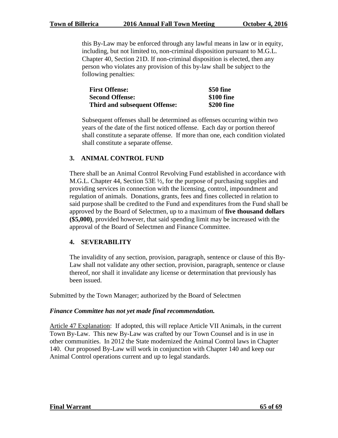this By-Law may be enforced through any lawful means in law or in equity, including, but not limited to, non-criminal disposition pursuant to M.G.L. Chapter 40, Section 21D. If non-criminal disposition is elected, then any person who violates any provision of this by-law shall be subject to the following penalties:

| <b>First Offense:</b>                | \$50 fine  |
|--------------------------------------|------------|
| <b>Second Offense:</b>               | \$100 fine |
| <b>Third and subsequent Offense:</b> | \$200 fine |

Subsequent offenses shall be determined as offenses occurring within two years of the date of the first noticed offense. Each day or portion thereof shall constitute a separate offense. If more than one, each condition violated shall constitute a separate offense.

# **3. ANIMAL CONTROL FUND**

There shall be an Animal Control Revolving Fund established in accordance with M.G.L. Chapter 44, Section 53E ½, for the purpose of purchasing supplies and providing services in connection with the licensing, control, impoundment and regulation of animals. Donations, grants, fees and fines collected in relation to said purpose shall be credited to the Fund and expenditures from the Fund shall be approved by the Board of Selectmen, up to a maximum of **five thousand dollars (\$5,000)**, provided however, that said spending limit may be increased with the approval of the Board of Selectmen and Finance Committee.

# **4. SEVERABILITY**

The invalidity of any section, provision, paragraph, sentence or clause of this By-Law shall not validate any other section, provision, paragraph, sentence or clause thereof, nor shall it invalidate any license or determination that previously has been issued.

Submitted by the Town Manager; authorized by the Board of Selectmen

# *Finance Committee has not yet made final recommendation.*

Article 47 Explanation: If adopted, this will replace Article VII Animals, in the current Town By-Law. This new By-Law was crafted by our Town Counsel and is in use in other communities. In 2012 the State modernized the Animal Control laws in Chapter 140. Our proposed By-Law will work in conjunction with Chapter 140 and keep our Animal Control operations current and up to legal standards.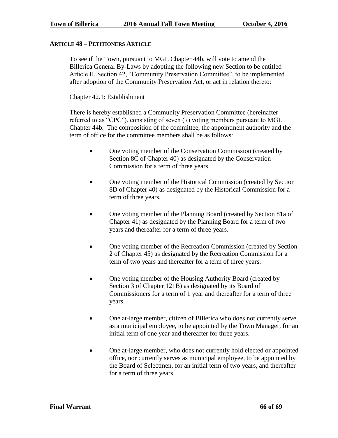#### **ARTICLE 48 – PETITIONERS ARTICLE**

To see if the Town, pursuant to MGL Chapter 44b, will vote to amend the Billerica General By-Laws by adopting the following new Section to be entitled Article II, Section 42, "Community Preservation Committee", to be implemented after adoption of the Community Preservation Act, or act in relation thereto:

#### Chapter 42.1: Establishment

There is hereby established a Community Preservation Committee (hereinafter referred to as "CPC"), consisting of seven (7) voting members pursuant to MGL Chapter 44b. The composition of the committee, the appointment authority and the term of office for the committee members shall be as follows:

- One voting member of the Conservation Commission (created by Section 8C of Chapter 40) as designated by the Conservation Commission for a term of three years.
- One voting member of the Historical Commission (created by Section 8D of Chapter 40) as designated by the Historical Commission for a term of three years.
- One voting member of the Planning Board (created by Section 81a of Chapter 41) as designated by the Planning Board for a term of two years and thereafter for a term of three years.
- One voting member of the Recreation Commission (created by Section 2 of Chapter 45) as designated by the Recreation Commission for a term of two years and thereafter for a term of three years.
- One voting member of the Housing Authority Board (created by Section 3 of Chapter 121B) as designated by its Board of Commissioners for a term of 1 year and thereafter for a term of three years.
- One at-large member, citizen of Billerica who does not currently serve as a municipal employee, to be appointed by the Town Manager, for an initial term of one year and thereafter for three years.
- One at-large member, who does not currently hold elected or appointed office, nor currently serves as municipal employee, to be appointed by the Board of Selectmen, for an initial term of two years, and thereafter for a term of three years.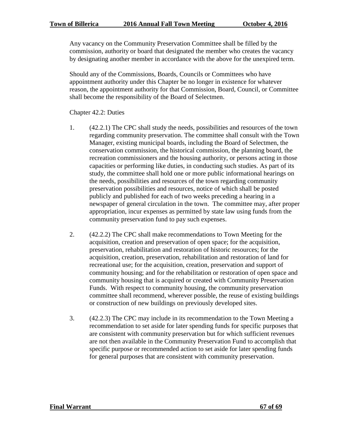Any vacancy on the Community Preservation Committee shall be filled by the commission, authority or board that designated the member who creates the vacancy by designating another member in accordance with the above for the unexpired term.

Should any of the Commissions, Boards, Councils or Committees who have appointment authority under this Chapter be no longer in existence for whatever reason, the appointment authority for that Commission, Board, Council, or Committee shall become the responsibility of the Board of Selectmen.

Chapter 42.2: Duties

- 1. (42.2.1) The CPC shall study the needs, possibilities and resources of the town regarding community preservation. The committee shall consult with the Town Manager, existing municipal boards, including the Board of Selectmen, the conservation commission, the historical commission, the planning board, the recreation commissioners and the housing authority, or persons acting in those capacities or performing like duties, in conducting such studies. As part of its study, the committee shall hold one or more public informational hearings on the needs, possibilities and resources of the town regarding community preservation possibilities and resources, notice of which shall be posted publicly and published for each of two weeks preceding a hearing in a newspaper of general circulation in the town. The committee may, after proper appropriation, incur expenses as permitted by state law using funds from the community preservation fund to pay such expenses.
- 2. (42.2.2) The CPC shall make recommendations to Town Meeting for the acquisition, creation and preservation of open space; for the acquisition, preservation, rehabilitation and restoration of historic resources; for the acquisition, creation, preservation, rehabilitation and restoration of land for recreational use; for the acquisition, creation, preservation and support of community housing; and for the rehabilitation or restoration of open space and community housing that is acquired or created with Community Preservation Funds. With respect to community housing, the community preservation committee shall recommend, wherever possible, the reuse of existing buildings or construction of new buildings on previously developed sites.
- 3. (42.2.3) The CPC may include in its recommendation to the Town Meeting a recommendation to set aside for later spending funds for specific purposes that are consistent with community preservation but for which sufficient revenues are not then available in the Community Preservation Fund to accomplish that specific purpose or recommended action to set aside for later spending funds for general purposes that are consistent with community preservation.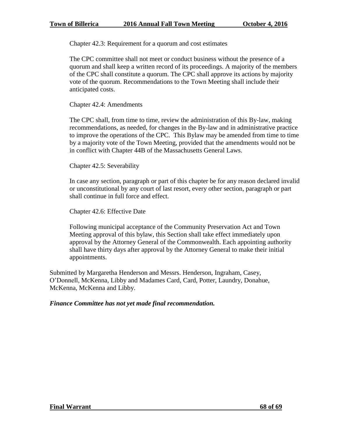Chapter 42.3: Requirement for a quorum and cost estimates

The CPC committee shall not meet or conduct business without the presence of a quorum and shall keep a written record of its proceedings. A majority of the members of the CPC shall constitute a quorum. The CPC shall approve its actions by majority vote of the quorum. Recommendations to the Town Meeting shall include their anticipated costs.

Chapter 42.4: Amendments

The CPC shall, from time to time, review the administration of this By-law, making recommendations, as needed, for changes in the By-law and in administrative practice to improve the operations of the CPC. This Bylaw may be amended from time to time by a majority vote of the Town Meeting, provided that the amendments would not be in conflict with Chapter 44B of the Massachusetts General Laws.

Chapter 42.5: Severability

In case any section, paragraph or part of this chapter be for any reason declared invalid or unconstitutional by any court of last resort, every other section, paragraph or part shall continue in full force and effect.

Chapter 42.6: Effective Date

Following municipal acceptance of the Community Preservation Act and Town Meeting approval of this bylaw, this Section shall take effect immediately upon approval by the Attorney General of the Commonwealth. Each appointing authority shall have thirty days after approval by the Attorney General to make their initial appointments.

Submitted by Margaretha Henderson and Messrs. Henderson, Ingraham, Casey, O'Donnell, McKenna, Libby and Madames Card, Card, Potter, Laundry, Donahue, McKenna, McKenna and Libby.

# *Finance Committee has not yet made final recommendation.*